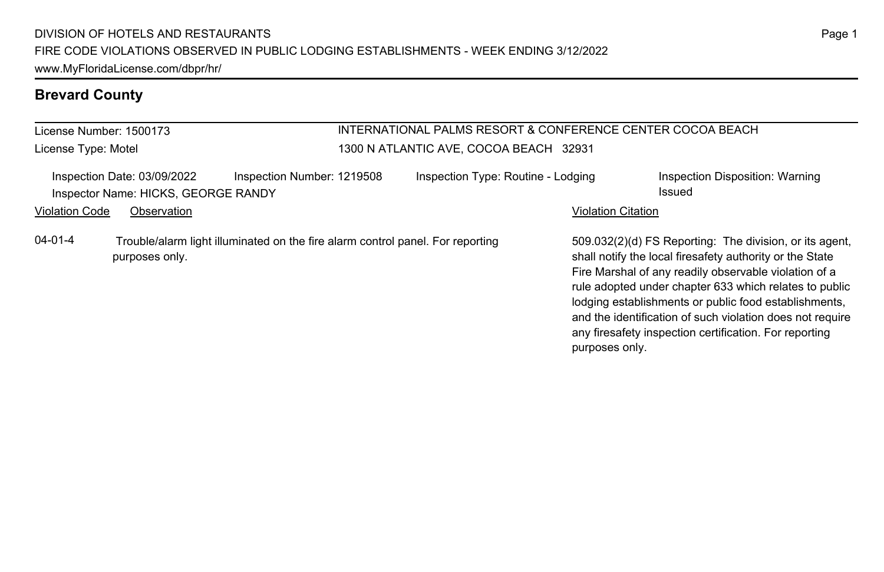# **Brevard County**

| License Number: 1500173<br>License Type: Motel |                                                                    |                                                                                | INTERNATIONAL PALMS RESORT & CONFERENCE CENTER COCOA BEACH<br>1300 N ATLANTIC AVE, COCOA BEACH 32931 |                                    |  |                           |                                                                                                                                                                                                                                                                                                                                                                                                                        |  |
|------------------------------------------------|--------------------------------------------------------------------|--------------------------------------------------------------------------------|------------------------------------------------------------------------------------------------------|------------------------------------|--|---------------------------|------------------------------------------------------------------------------------------------------------------------------------------------------------------------------------------------------------------------------------------------------------------------------------------------------------------------------------------------------------------------------------------------------------------------|--|
|                                                | Inspection Date: 03/09/2022<br>Inspector Name: HICKS, GEORGE RANDY | Inspection Number: 1219508                                                     |                                                                                                      | Inspection Type: Routine - Lodging |  |                           | Inspection Disposition: Warning<br>Issued                                                                                                                                                                                                                                                                                                                                                                              |  |
| <b>Violation Code</b>                          | Observation                                                        |                                                                                |                                                                                                      |                                    |  | <b>Violation Citation</b> |                                                                                                                                                                                                                                                                                                                                                                                                                        |  |
| $04 - 01 - 4$                                  | purposes only.                                                     | Trouble/alarm light illuminated on the fire alarm control panel. For reporting |                                                                                                      |                                    |  | purposes only.            | 509.032(2)(d) FS Reporting: The division, or its agent.<br>shall notify the local firesafety authority or the State<br>Fire Marshal of any readily observable violation of a<br>rule adopted under chapter 633 which relates to public<br>lodging establishments or public food establishments,<br>and the identification of such violation does not require<br>any firesafety inspection certification. For reporting |  |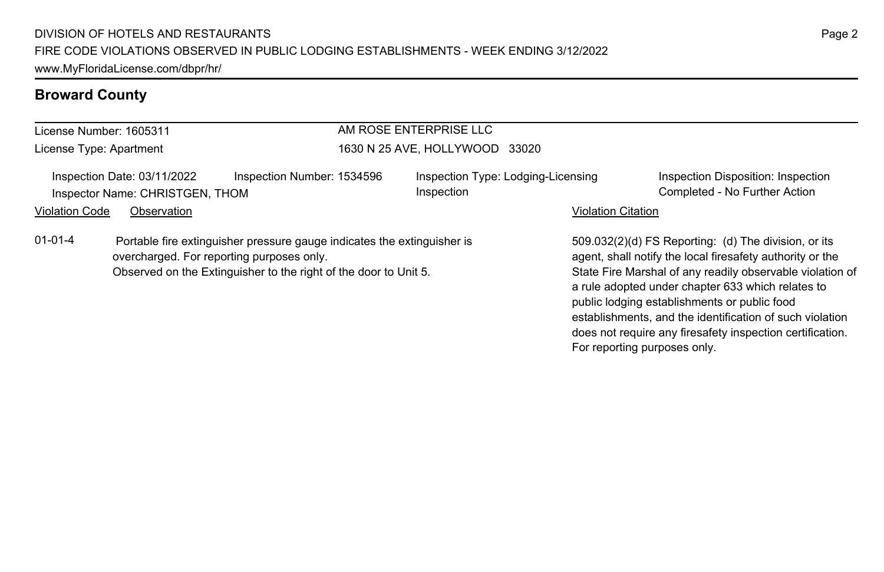| License Number: 1605311 |                                                                |                                                                                                                                                                                          | AM ROSE ENTERPRISE LLC         |                                    |                                                                                                                                                                                                                                                                                                                                                                                                              |
|-------------------------|----------------------------------------------------------------|------------------------------------------------------------------------------------------------------------------------------------------------------------------------------------------|--------------------------------|------------------------------------|--------------------------------------------------------------------------------------------------------------------------------------------------------------------------------------------------------------------------------------------------------------------------------------------------------------------------------------------------------------------------------------------------------------|
| License Type: Apartment |                                                                |                                                                                                                                                                                          | 1630 N 25 AVE, HOLLYWOOD 33020 |                                    |                                                                                                                                                                                                                                                                                                                                                                                                              |
|                         | Inspection Date: 03/11/2022<br>Inspector Name: CHRISTGEN, THOM | Inspection Number: 1534596                                                                                                                                                               | Inspection                     | Inspection Type: Lodging-Licensing | Inspection Disposition: Inspection<br>Completed - No Further Action                                                                                                                                                                                                                                                                                                                                          |
| <b>Violation Code</b>   | Observation                                                    |                                                                                                                                                                                          |                                | <b>Violation Citation</b>          |                                                                                                                                                                                                                                                                                                                                                                                                              |
| $01 - 01 - 4$           |                                                                | Portable fire extinguisher pressure gauge indicates the extinguisher is<br>overcharged. For reporting purposes only.<br>Observed on the Extinguisher to the right of the door to Unit 5. |                                |                                    | 509.032(2)(d) FS Reporting: (d) The division, or its<br>agent, shall notify the local firesafety authority or the<br>State Fire Marshal of any readily observable violation of<br>a rule adopted under chapter 633 which relates to<br>public lodging establishments or public food<br>establishments, and the identification of such violation<br>does not require any firesafety inspection certification. |

For reporting purposes only.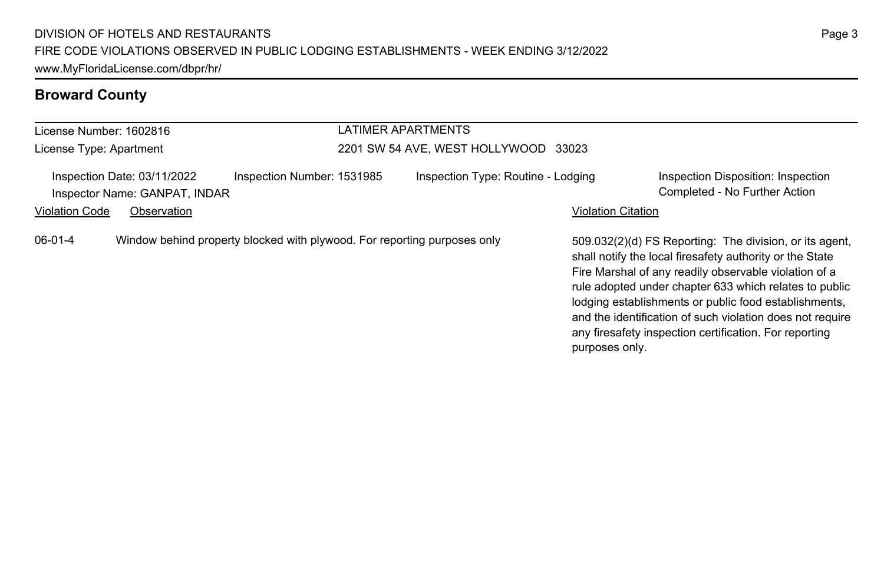#### License Number: 1602816 License Type: Apartment LATIMER APARTMENTS 2201 SW 54 AVE, WEST HOLLYWOOD 33023 Inspection Date: 03/11/2022 Inspection Number: 1531985 Inspection Type: Routine - Lodging Inspection Disposition: Inspection Inspector Name: GANPAT, INDAR Completed - No Further Action Violation Code Observation **Violation Code Observation** Violation Citation Citation Citation Citation Citation Citation Citation Citation Citation Citation Citation Citation Citation Citation Citation Citation Citation Cit 509.032(2)(d) FS Reporting: The division, or its agent, shall notify the local firesafety authority or the State Fire Marshal of any readily observable violation of a rule adopted under chapter 633 which relates to public lodging establishments or public food establishments, and the identification of such violation does not require any firesafety inspection certification. For reporting purposes only. 06-01-4 Window behind property blocked with plywood. For reporting purposes only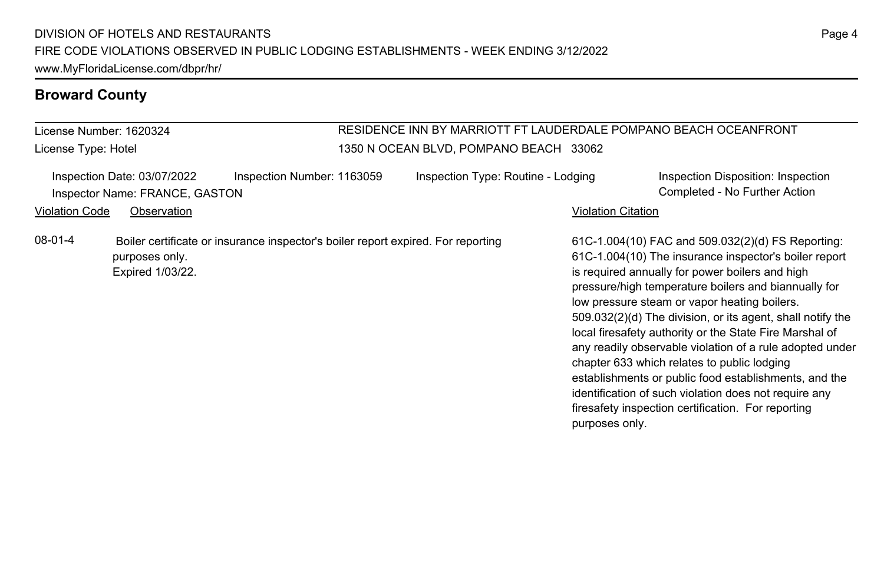License Number: 1620324 License Type: Hotel

### RESIDENCE INN BY MARRIOTT FT LAUDERDALE POMPANO BEACH OCEANFRONT 1350 N OCEAN BLVD, POMPANO BEACH 33062

|                       | Inspection Date: 03/07/2022<br>Inspector Name: FRANCE, GASTON | Inspection Number: 1163059                                                       | Inspection Type: Routine - Lodging |                           | Inspection Disposition: Inspection<br>Completed - No Further Action                                                                                                                                                                                                                                                                                                                                                                                                                                                                                                                                                                                                               |
|-----------------------|---------------------------------------------------------------|----------------------------------------------------------------------------------|------------------------------------|---------------------------|-----------------------------------------------------------------------------------------------------------------------------------------------------------------------------------------------------------------------------------------------------------------------------------------------------------------------------------------------------------------------------------------------------------------------------------------------------------------------------------------------------------------------------------------------------------------------------------------------------------------------------------------------------------------------------------|
| <b>Violation Code</b> | Observation                                                   |                                                                                  |                                    | <b>Violation Citation</b> |                                                                                                                                                                                                                                                                                                                                                                                                                                                                                                                                                                                                                                                                                   |
| $08-01-4$             | purposes only.<br>Expired 1/03/22.                            | Boiler certificate or insurance inspector's boiler report expired. For reporting |                                    | purposes only.            | 61C-1.004(10) FAC and 509.032(2)(d) FS Reporting:<br>61C-1.004(10) The insurance inspector's boiler report<br>is required annually for power boilers and high<br>pressure/high temperature boilers and biannually for<br>low pressure steam or vapor heating boilers.<br>509.032(2)(d) The division, or its agent, shall notify the<br>local firesafety authority or the State Fire Marshal of<br>any readily observable violation of a rule adopted under<br>chapter 633 which relates to public lodging<br>establishments or public food establishments, and the<br>identification of such violation does not require any<br>firesafety inspection certification. For reporting |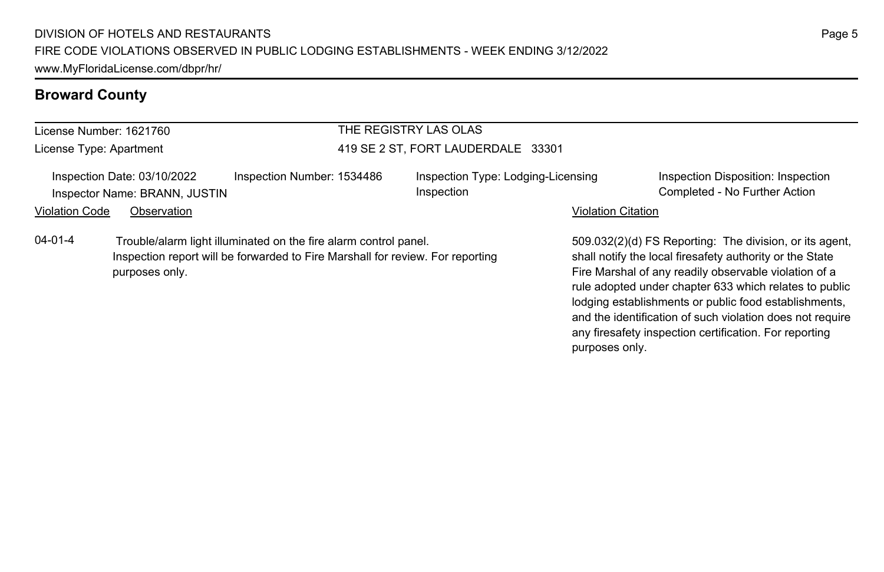Inspection report will be forwarded to Fire Marshall for review. For reporting

#### **Broward County**

#### License Number: 1621760

purposes only.

License Type: Apartment

#### THE REGISTRY LAS OLAS 419 SE 2 ST, FORT LAUDERDALE 33301

| Inspection Date: 03/10/2022   | Inspection Number: 153448 |
|-------------------------------|---------------------------|
| Inspector Name: BRANN, JUSTIN |                           |

04-01-4 Trouble/alarm light illuminated on the fire alarm control panel.

6 Inspection Type: Lodging-Licensing Inspection

Inspection Disposition: Inspection Completed - No Further Action

#### Violation Code Observation **Violation Code Observation** Violation Citation Citation Citation Citation Citation Citation Citation Citation Citation Citation Citation Citation Citation Citation Citation Citation Citation Cit

509.032(2)(d) FS Reporting: The division, or its agent, shall notify the local firesafety authority or the State Fire Marshal of any readily observable violation of a rule adopted under chapter 633 which relates to public lodging establishments or public food establishments, and the identification of such violation does not require any firesafety inspection certification. For reporting purposes only.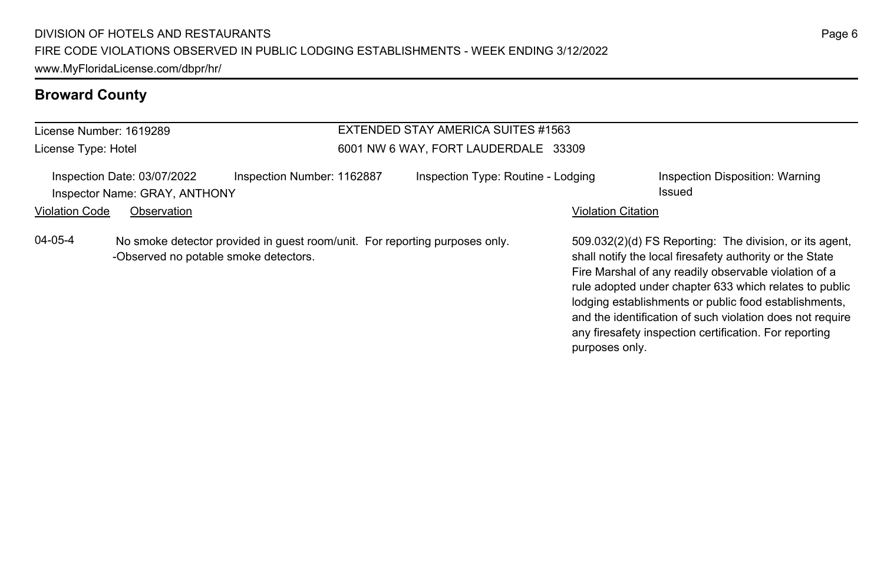#### License Number: 1619289 License Type: Hotel EXTENDED STAY AMERICA SUITES #1563 6001 NW 6 WAY, FORT LAUDERDALE 33309 Inspection Date: 03/07/2022 Inspection Number: 1162887 Inspection Type: Routine - Lodging Inspection Disposition: Warning Inspector Name: GRAY, ANTHONY **Issued** Violation Code Observation **Violation Code Observation** Violation Citation Citation Citation Citation Citation Citation Citation Citation Citation Citation Citation Citation Citation Citation Citation Citation Citation Cit 509.032(2)(d) FS Reporting: The division, or its agent, shall notify the local firesafety authority or the State Fire Marshal of any readily observable violation of a rule adopted under chapter 633 which relates to public 04-05-4 No smoke detector provided in guest room/unit. For reporting purposes only. -Observed no potable smoke detectors.

lodging establishments or public food establishments, and the identification of such violation does not require any firesafety inspection certification. For reporting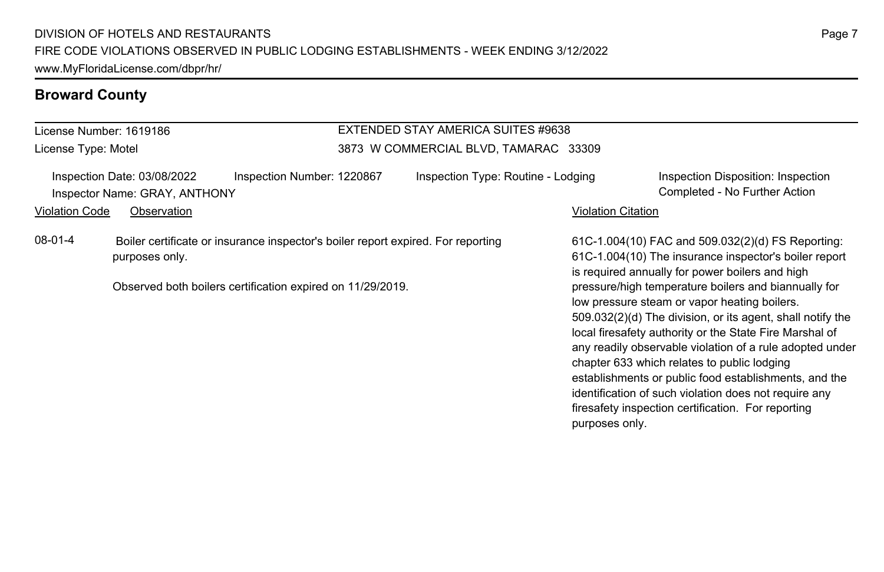License Number: 1619186 License Type: Motel

#### EXTENDED STAY AMERICA SUITES #9638 3873 W COMMERCIAL BLVD, TAMARAC 33309

Inspection Date: 03/08/2022 Inspection Number: 1220867 Inspection Type: Routine - Lodging Inspection Disposition: Inspection Inspector Name: GRAY, ANTHONY Completed - No Further Action

Violation Code Observation **Violation Code** Observation **Violation** Violation Citation Citation Citation Citation

08-01-4 Boiler certificate or insurance inspector's boiler report expired. For reporting purposes only.

Observed both boilers certification expired on 11/29/2019.

61C-1.004(10) FAC and 509.032(2)(d) FS Reporting: 61C-1.004(10) The insurance inspector's boiler report is required annually for power boilers and high pressure/high temperature boilers and biannually for low pressure steam or vapor heating boilers. 509.032(2)(d) The division, or its agent, shall notify the local firesafety authority or the State Fire Marshal of any readily observable violation of a rule adopted under chapter 633 which relates to public lodging establishments or public food establishments, and the identification of such violation does not require any firesafety inspection certification. For reporting purposes only.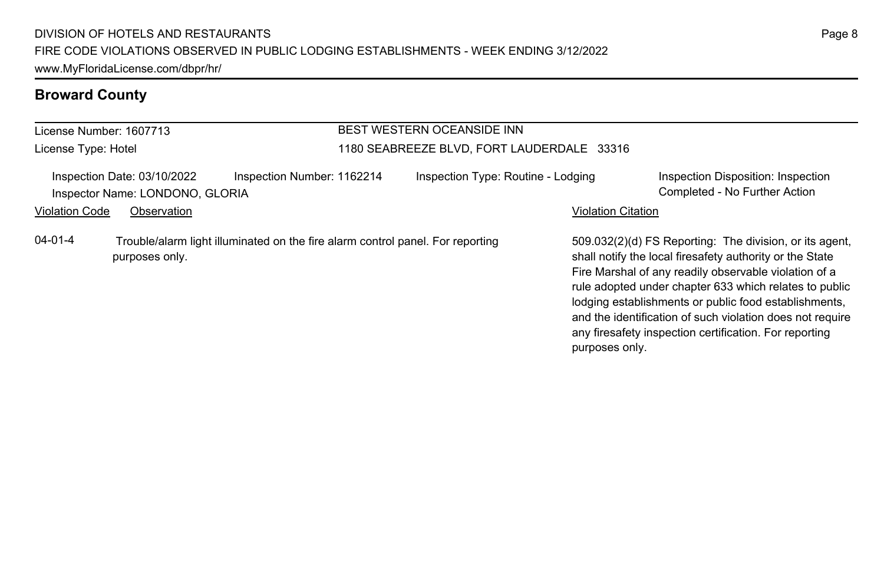# License Number: 1607713

License Type: Hotel

### BEST WESTERN OCEANSIDE INN 1180 SEABREEZE BLVD, FORT LAUDERDALE 33316

|                | Inspection Date: 03/10/2022<br>Inspector Name: LONDONO, GLORIA | Inspection Number: 1162214                                                     | Inspection Type: Routine - Lodging |                           | Inspection Disposition: Inspection<br>Completed - No Further Action                                                                                                                                                                                                                                                                                                                                                    |
|----------------|----------------------------------------------------------------|--------------------------------------------------------------------------------|------------------------------------|---------------------------|------------------------------------------------------------------------------------------------------------------------------------------------------------------------------------------------------------------------------------------------------------------------------------------------------------------------------------------------------------------------------------------------------------------------|
| Violation Code | Observation                                                    |                                                                                |                                    | <b>Violation Citation</b> |                                                                                                                                                                                                                                                                                                                                                                                                                        |
| 04-01-4        | purposes only.                                                 | Trouble/alarm light illuminated on the fire alarm control panel. For reporting |                                    | purposes only.            | 509.032(2)(d) FS Reporting: The division, or its agent,<br>shall notify the local firesafety authority or the State<br>Fire Marshal of any readily observable violation of a<br>rule adopted under chapter 633 which relates to public<br>lodging establishments or public food establishments,<br>and the identification of such violation does not require<br>any firesafety inspection certification. For reporting |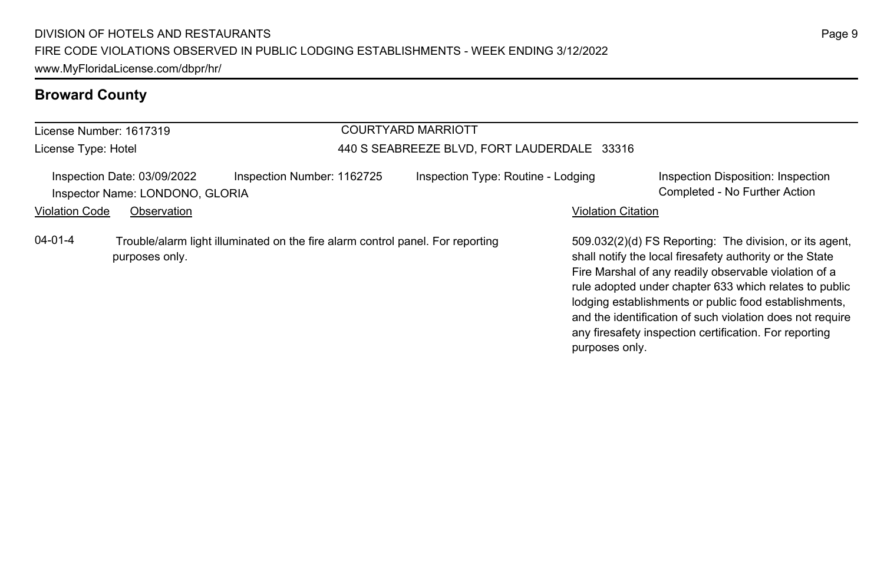#### License Number: 1617319 License Type: Hotel COURTYARD MARRIOTT 440 S SEABREEZE BLVD, FORT LAUDERDALE 33316 Inspection Date: 03/09/2022 Inspection Number: 1162725 Inspection Type: Routine - Lodging Inspection Disposition: Inspection Inspector Name: LONDONO, GLORIA Completed - No Further Action Violation Code Observation **Violation Code Observation** Violation Citation Citation Citation Citation Citation Citation Citation Citation Citation Citation Citation Citation Citation Citation Citation Citation Citation Cit 509.032(2)(d) FS Reporting: The division, or its agent, shall notify the local firesafety authority or the State Fire Marshal of any readily observable violation of a rule adopted under chapter 633 which relates to public lodging establishments or public food establishments, and the identification of such violation does not require 04-01-4 Trouble/alarm light illuminated on the fire alarm control panel. For reporting purposes only.

Page 9

any firesafety inspection certification. For reporting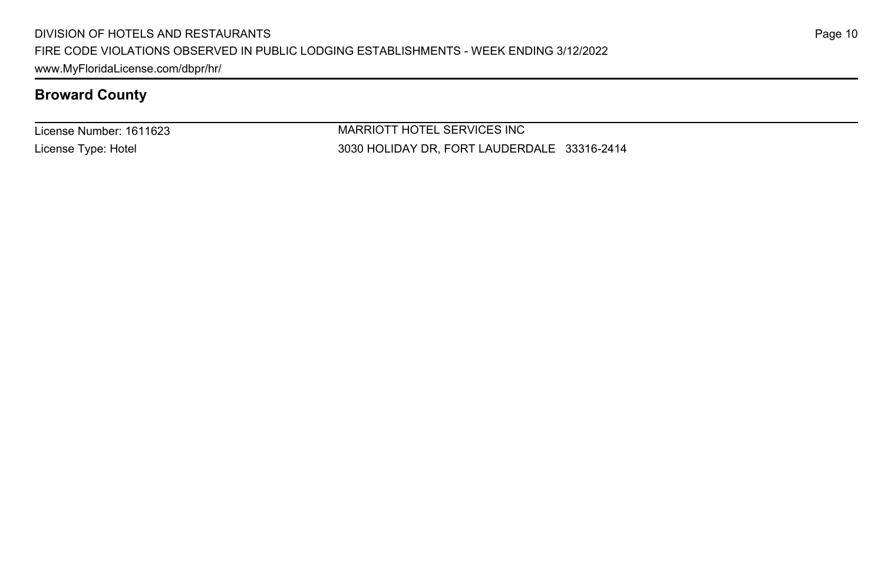License Number: 1611623 License Type: Hotel

MARRIOTT HOTEL SERVICES INC 3030 HOLIDAY DR, FORT LAUDERDALE 33316-2414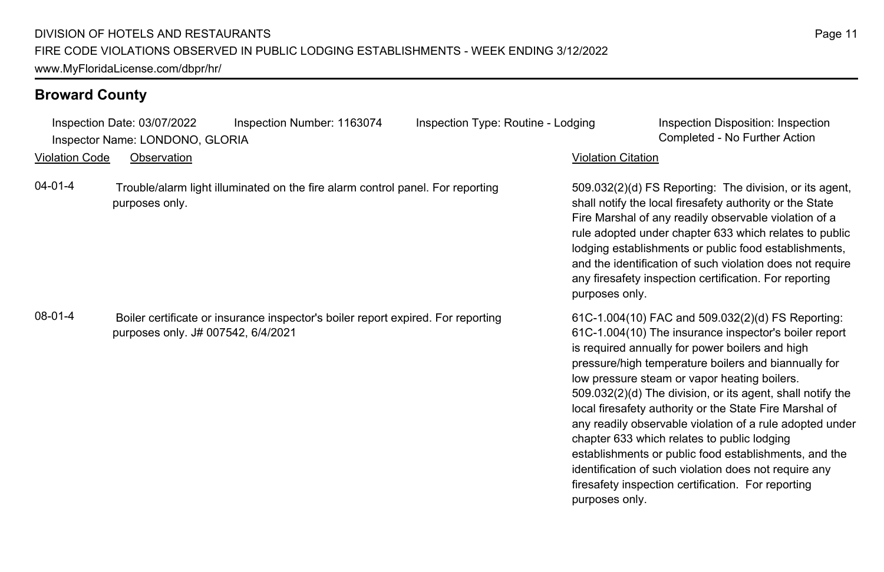Inspection Date: 03/07/2022 Inspection Number: 1163074 Inspection Type: Routine - Lodging Inspection Disposition: Inspection Inspector Name: LONDONO, GLORIA Completed - No Further Action

Violation Code Observation Violation Citation

04-01-4 Trouble/alarm light illuminated on the fire alarm control panel. For reporting purposes only.

08-01-4 Boiler certificate or insurance inspector's boiler report expired. For reporting purposes only. J# 007542, 6/4/2021

509.032(2)(d) FS Reporting: The division, or its agent, shall notify the local firesafety authority or the State Fire Marshal of any readily observable violation of a rule adopted under chapter 633 which relates to public lodging establishments or public food establishments, and the identification of such violation does not require any firesafety inspection certification. For reporting purposes only.

61C-1.004(10) FAC and 509.032(2)(d) FS Reporting: 61C-1.004(10) The insurance inspector's boiler report is required annually for power boilers and high pressure/high temperature boilers and biannually for low pressure steam or vapor heating boilers. 509.032(2)(d) The division, or its agent, shall notify the local firesafety authority or the State Fire Marshal of any readily observable violation of a rule adopted under chapter 633 which relates to public lodging establishments or public food establishments, and the identification of such violation does not require any firesafety inspection certification. For reporting purposes only.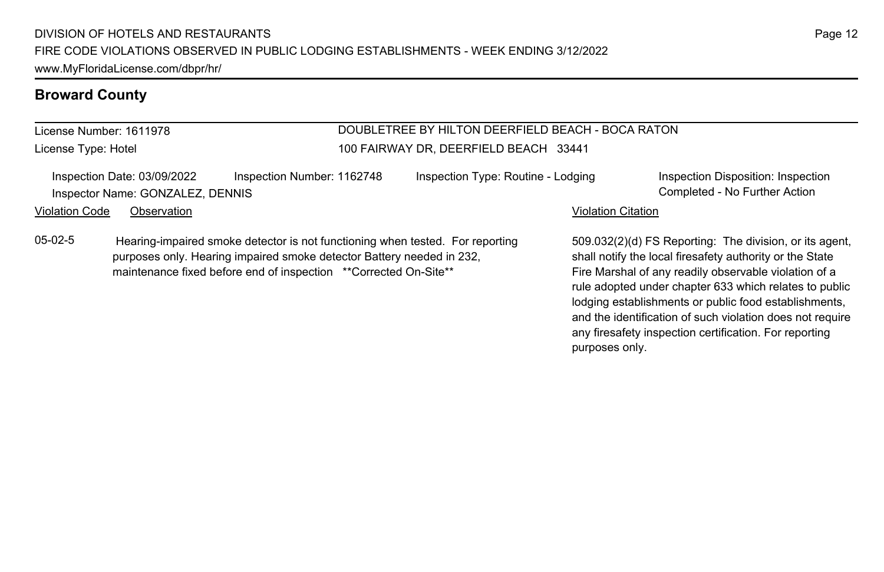# License Number: 1611978

License Type: Hotel

#### DOUBLETREE BY HILTON DEERFIELD BEACH - BOCA RATON 100 FAIRWAY DR, DEERFIELD BEACH 33441

Inspection Date: 03/09/2022 Inspection Number: 1162748 Inspection Type: Routine - Lodging Inspection Disposition: Inspection Inspector Name: GONZALEZ, DENNIS Completed - No Further Action

#### Violation Code Observation **Violation Code** Observation **Violation** Violation Citation Citation Citation Citation

05-02-5 Hearing-impaired smoke detector is not functioning when tested. For reporting purposes only. Hearing impaired smoke detector Battery needed in 232, maintenance fixed before end of inspection \*\*Corrected On-Site\*\*

509.032(2)(d) FS Reporting: The division, or its agent, shall notify the local firesafety authority or the State Fire Marshal of any readily observable violation of a rule adopted under chapter 633 which relates to public lodging establishments or public food establishments, and the identification of such violation does not require any firesafety inspection certification. For reporting purposes only.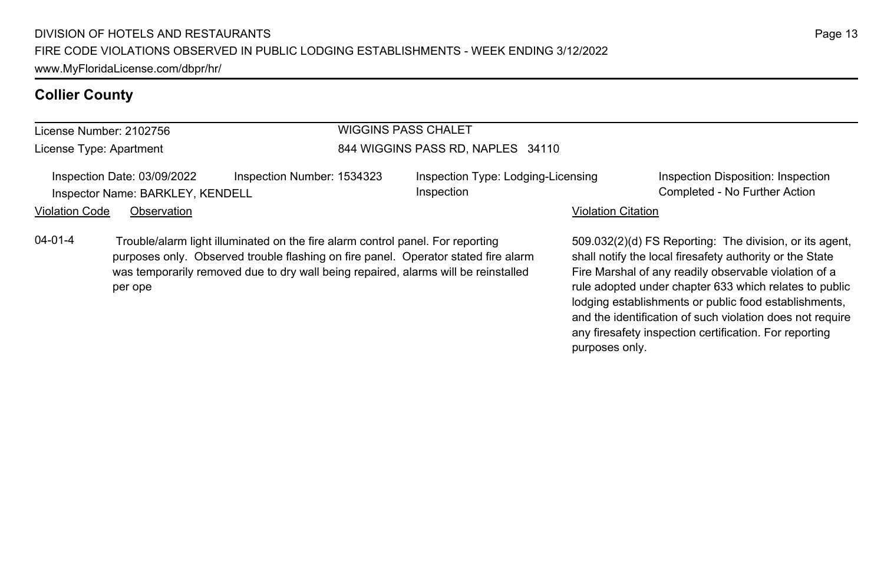#### **Collier County**

#### License Number: 2102756

License Type: Apartment

#### WIGGINS PASS CHALET 844 WIGGINS PASS RD, NAPLES 34110

Inspection Date: 03/09/2022 Inspection Number: 1534323 Inspection Type: Lodging-Licensing Inspector Name: BARKLEY, KENDELL **Completed - No Further Action** Completed - No Further Action

Inspection

Inspection Disposition: Inspection

#### Violation Code Observation **Violation Code** Observation **Violation** Violation Citation Citation Citation Citation

04-01-4 Trouble/alarm light illuminated on the fire alarm control panel. For reporting purposes only. Observed trouble flashing on fire panel. Operator stated fire alarm was temporarily removed due to dry wall being repaired, alarms will be reinstalled per ope

509.032(2)(d) FS Reporting: The division, or its agent, shall notify the local firesafety authority or the State Fire Marshal of any readily observable violation of a rule adopted under chapter 633 which relates to public lodging establishments or public food establishments, and the identification of such violation does not require any firesafety inspection certification. For reporting purposes only.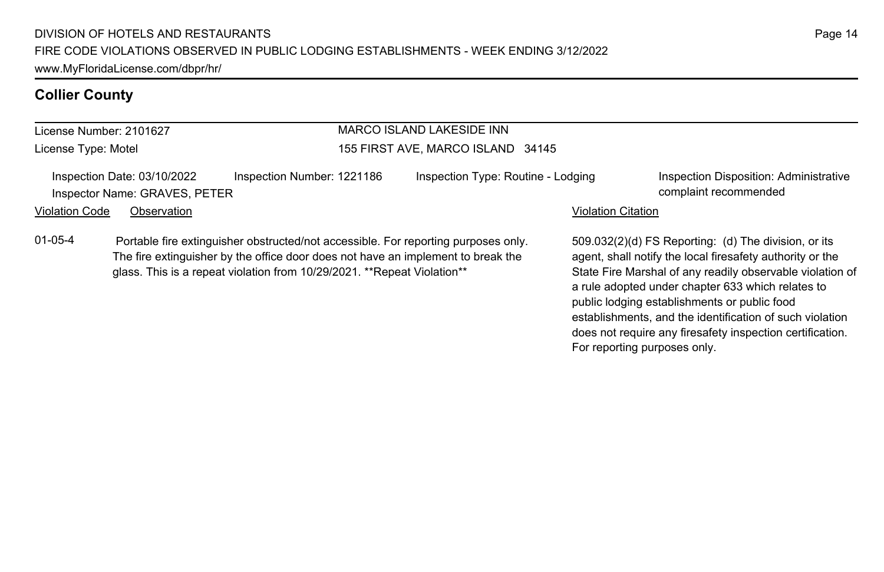#### **Collier County**

#### License Number: 2101627 License Type: Motel MARCO ISLAND LAKESIDE INN 155 FIRST AVE, MARCO ISLAND 34145 Inspection Date: 03/10/2022 Inspection Number: 1221186 Inspection Type: Routine - Lodging Inspection Disposition: Administrative Inspector Name: GRAVES, PETER complaint recommended Violation Code Observation **Violation Code Observation** Violation Citation Citation Citation Citation Citation Citation Citation Citation Citation Citation Citation Citation Citation Citation Citation Citation Citation Cit 509.032(2)(d) FS Reporting: (d) The division, or its 01-05-4 Portable fire extinguisher obstructed/not accessible. For reporting purposes only.

The fire extinguisher by the office door does not have an implement to break the glass. This is a repeat violation from 10/29/2021. \*\*Repeat Violation\*\*

agent, shall notify the local firesafety authority or the State Fire Marshal of any readily observable violation of a rule adopted under chapter 633 which relates to public lodging establishments or public food establishments, and the identification of such violation does not require any firesafety inspection certification. For reporting purposes only.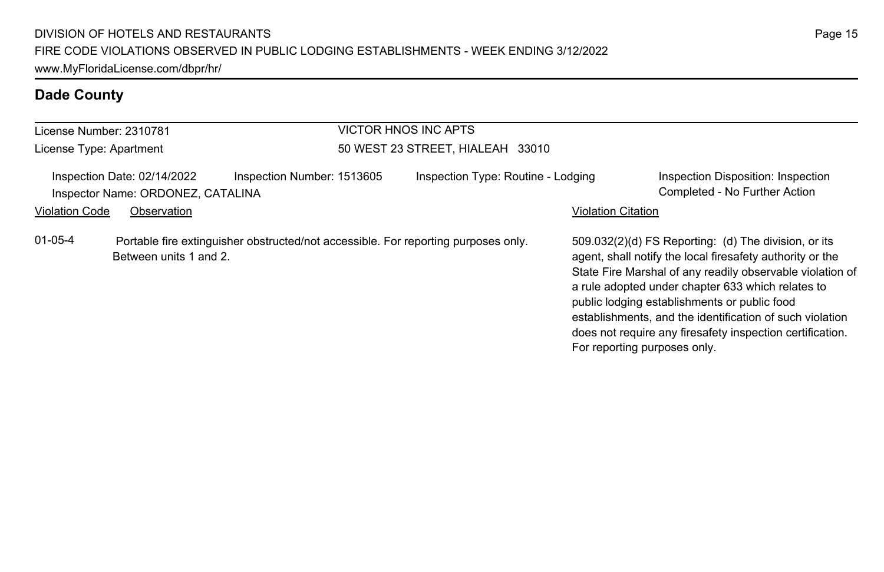| License Number: 2310781                                                                                                       |                                                                  |                            | <b>VICTOR HNOS INC APTS</b>        |                                                                                                                                                                                                                                                                                                                                                                                                              |                                                                     |
|-------------------------------------------------------------------------------------------------------------------------------|------------------------------------------------------------------|----------------------------|------------------------------------|--------------------------------------------------------------------------------------------------------------------------------------------------------------------------------------------------------------------------------------------------------------------------------------------------------------------------------------------------------------------------------------------------------------|---------------------------------------------------------------------|
| License Type: Apartment                                                                                                       |                                                                  |                            | 50 WEST 23 STREET, HIALEAH 33010   |                                                                                                                                                                                                                                                                                                                                                                                                              |                                                                     |
|                                                                                                                               | Inspection Date: 02/14/2022<br>Inspector Name: ORDONEZ, CATALINA | Inspection Number: 1513605 | Inspection Type: Routine - Lodging |                                                                                                                                                                                                                                                                                                                                                                                                              | Inspection Disposition: Inspection<br>Completed - No Further Action |
| <b>Violation Code</b>                                                                                                         | Observation                                                      |                            |                                    | <b>Violation Citation</b>                                                                                                                                                                                                                                                                                                                                                                                    |                                                                     |
| $01 - 05 - 4$<br>Portable fire extinguisher obstructed/not accessible. For reporting purposes only.<br>Between units 1 and 2. |                                                                  |                            | For reporting purposes only.       | 509.032(2)(d) FS Reporting: (d) The division, or its<br>agent, shall notify the local firesafety authority or the<br>State Fire Marshal of any readily observable violation of<br>a rule adopted under chapter 633 which relates to<br>public lodging establishments or public food<br>establishments, and the identification of such violation<br>does not require any firesafety inspection certification. |                                                                     |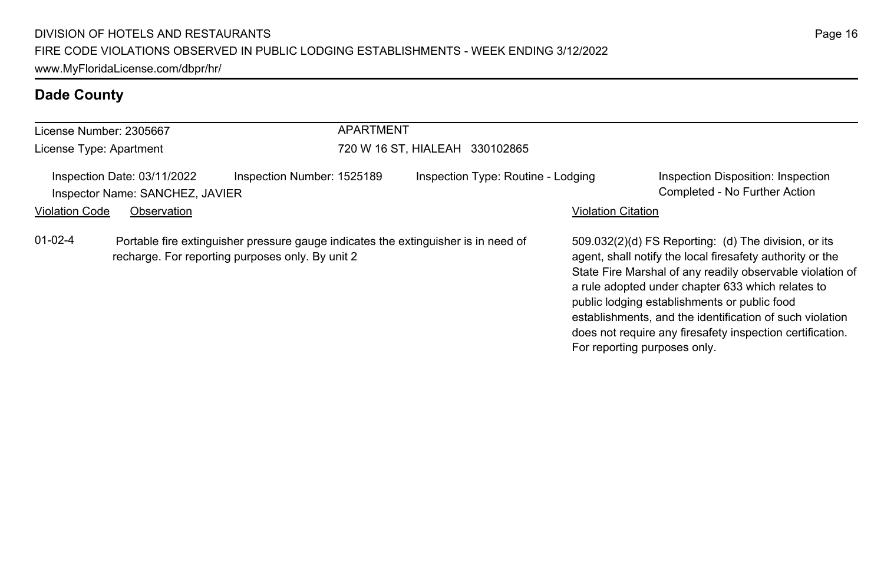| License Number: 2305667 |                                                                               | <b>APARTMENT</b>                                                                                                                       |                                    |                                                                                                                                                                                                                                                                                                                                                                                                                                              |
|-------------------------|-------------------------------------------------------------------------------|----------------------------------------------------------------------------------------------------------------------------------------|------------------------------------|----------------------------------------------------------------------------------------------------------------------------------------------------------------------------------------------------------------------------------------------------------------------------------------------------------------------------------------------------------------------------------------------------------------------------------------------|
| License Type: Apartment |                                                                               |                                                                                                                                        | 720 W 16 ST, HIALEAH 330102865     |                                                                                                                                                                                                                                                                                                                                                                                                                                              |
| <b>Violation Code</b>   | Inspection Date: 03/11/2022<br>Inspector Name: SANCHEZ, JAVIER<br>Observation | Inspection Number: 1525189                                                                                                             | Inspection Type: Routine - Lodging | Inspection Disposition: Inspection<br>Completed - No Further Action<br><b>Violation Citation</b>                                                                                                                                                                                                                                                                                                                                             |
| $01 - 02 - 4$           |                                                                               | Portable fire extinguisher pressure gauge indicates the extinguisher is in need of<br>recharge. For reporting purposes only. By unit 2 |                                    | 509.032(2)(d) FS Reporting: (d) The division, or its<br>agent, shall notify the local firesafety authority or the<br>State Fire Marshal of any readily observable violation of<br>a rule adopted under chapter 633 which relates to<br>public lodging establishments or public food<br>establishments, and the identification of such violation<br>does not require any firesafety inspection certification.<br>For reporting purposes only. |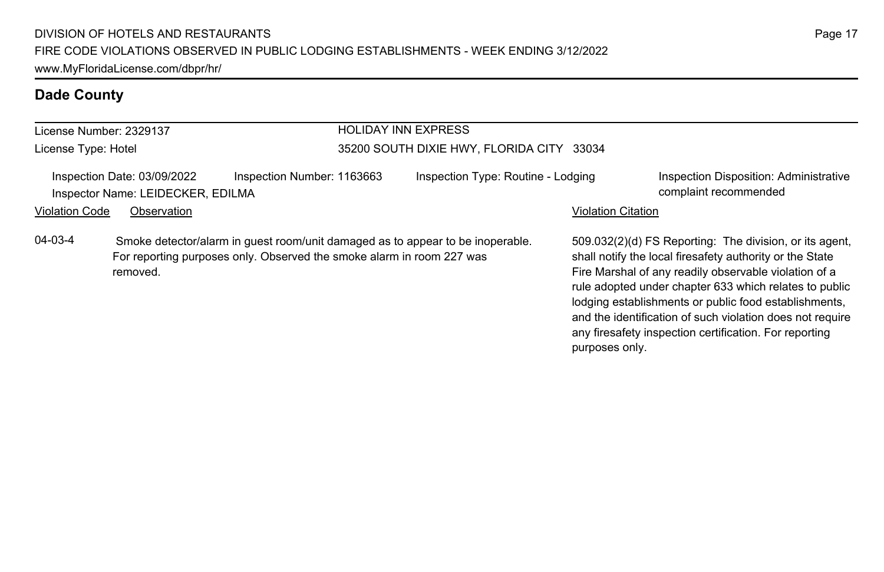|                       | License Number: 2329137                                          |                                                                                                                                                         | <b>HOLIDAY INN EXPRESS</b>                |                           |                                                                                                                                                                                                                                                                                                                                                              |  |
|-----------------------|------------------------------------------------------------------|---------------------------------------------------------------------------------------------------------------------------------------------------------|-------------------------------------------|---------------------------|--------------------------------------------------------------------------------------------------------------------------------------------------------------------------------------------------------------------------------------------------------------------------------------------------------------------------------------------------------------|--|
| License Type: Hotel   |                                                                  |                                                                                                                                                         | 35200 SOUTH DIXIE HWY, FLORIDA CITY 33034 |                           |                                                                                                                                                                                                                                                                                                                                                              |  |
|                       | Inspection Date: 03/09/2022<br>Inspector Name: LEIDECKER, EDILMA | Inspection Number: 1163663                                                                                                                              | Inspection Type: Routine - Lodging        |                           | Inspection Disposition: Administrative<br>complaint recommended                                                                                                                                                                                                                                                                                              |  |
| <b>Violation Code</b> | Observation                                                      |                                                                                                                                                         |                                           | <b>Violation Citation</b> |                                                                                                                                                                                                                                                                                                                                                              |  |
| $04 - 03 - 4$         | removed.                                                         | Smoke detector/alarm in guest room/unit damaged as to appear to be inoperable.<br>For reporting purposes only. Observed the smoke alarm in room 227 was |                                           |                           | 509.032(2)(d) FS Reporting: The division, or its agent,<br>shall notify the local firesafety authority or the State<br>Fire Marshal of any readily observable violation of a<br>rule adopted under chapter 633 which relates to public<br>lodging establishments or public food establishments,<br>and the identification of such violation does not require |  |

any firesafety inspection certification. For reporting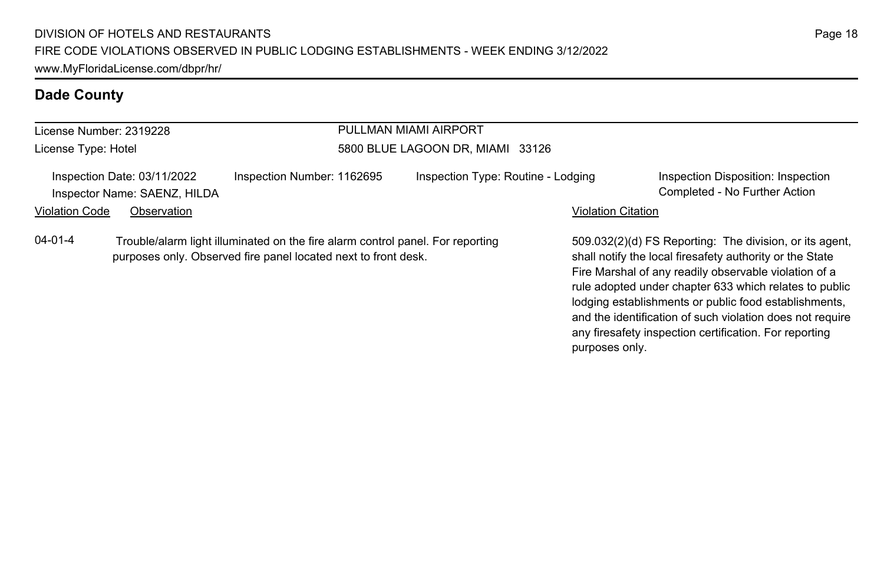| License Number: 2319228 |                                                             |                                                                                                                                                  | PULLMAN MIAMI AIRPORT              |                           |                                                                                                                                                                                                                                                                                                                                                              |
|-------------------------|-------------------------------------------------------------|--------------------------------------------------------------------------------------------------------------------------------------------------|------------------------------------|---------------------------|--------------------------------------------------------------------------------------------------------------------------------------------------------------------------------------------------------------------------------------------------------------------------------------------------------------------------------------------------------------|
| License Type: Hotel     |                                                             |                                                                                                                                                  | 5800 BLUE LAGOON DR, MIAMI 33126   |                           |                                                                                                                                                                                                                                                                                                                                                              |
|                         | Inspection Date: 03/11/2022<br>Inspector Name: SAENZ, HILDA | Inspection Number: 1162695                                                                                                                       | Inspection Type: Routine - Lodging |                           | Inspection Disposition: Inspection<br>Completed - No Further Action                                                                                                                                                                                                                                                                                          |
| Violation Code          | Observation                                                 |                                                                                                                                                  |                                    | <b>Violation Citation</b> |                                                                                                                                                                                                                                                                                                                                                              |
| $04 - 01 - 4$           |                                                             | Trouble/alarm light illuminated on the fire alarm control panel. For reporting<br>purposes only. Observed fire panel located next to front desk. |                                    |                           | 509.032(2)(d) FS Reporting: The division, or its agent.<br>shall notify the local firesafety authority or the State<br>Fire Marshal of any readily observable violation of a<br>rule adopted under chapter 633 which relates to public<br>lodging establishments or public food establishments,<br>and the identification of such violation does not require |

any firesafety inspection certification. For reporting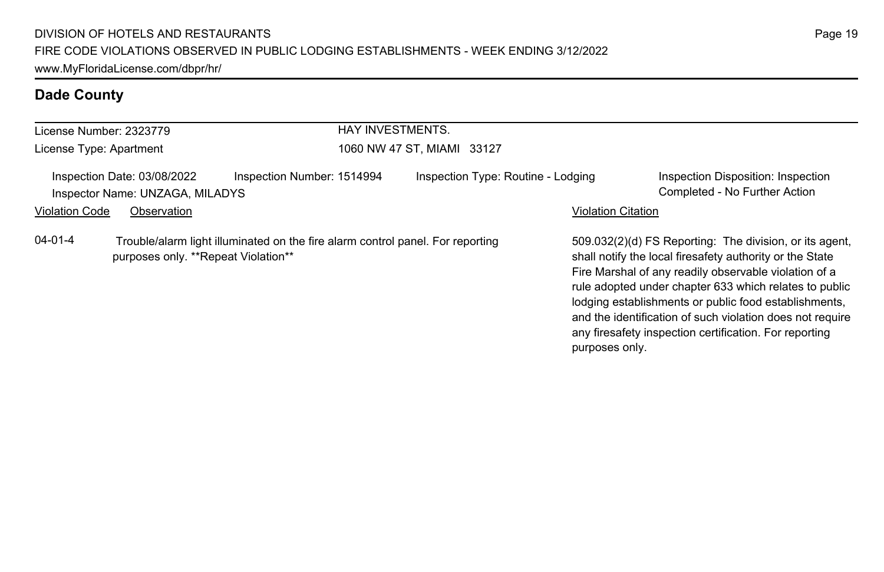| License Number: 2323779 |                                                                |                                                                                | <b>HAY INVESTMENTS.</b>    |                                    |                           |                                                                                                                                                                                                                                                                                                                                                                                                                        |  |
|-------------------------|----------------------------------------------------------------|--------------------------------------------------------------------------------|----------------------------|------------------------------------|---------------------------|------------------------------------------------------------------------------------------------------------------------------------------------------------------------------------------------------------------------------------------------------------------------------------------------------------------------------------------------------------------------------------------------------------------------|--|
| License Type: Apartment |                                                                |                                                                                | 1060 NW 47 ST. MIAMI 33127 |                                    |                           |                                                                                                                                                                                                                                                                                                                                                                                                                        |  |
|                         | Inspection Date: 03/08/2022<br>Inspector Name: UNZAGA, MILADYS | Inspection Number: 1514994                                                     |                            | Inspection Type: Routine - Lodging |                           | Inspection Disposition: Inspection<br>Completed - No Further Action                                                                                                                                                                                                                                                                                                                                                    |  |
| <b>Violation Code</b>   | Observation                                                    |                                                                                |                            |                                    | <b>Violation Citation</b> |                                                                                                                                                                                                                                                                                                                                                                                                                        |  |
| 04-01-4                 | purposes only. **Repeat Violation**                            | Trouble/alarm light illuminated on the fire alarm control panel. For reporting |                            |                                    |                           | 509.032(2)(d) FS Reporting: The division, or its agent,<br>shall notify the local firesafety authority or the State<br>Fire Marshal of any readily observable violation of a<br>rule adopted under chapter 633 which relates to public<br>lodging establishments or public food establishments,<br>and the identification of such violation does not require<br>any firesafety inspection certification. For reporting |  |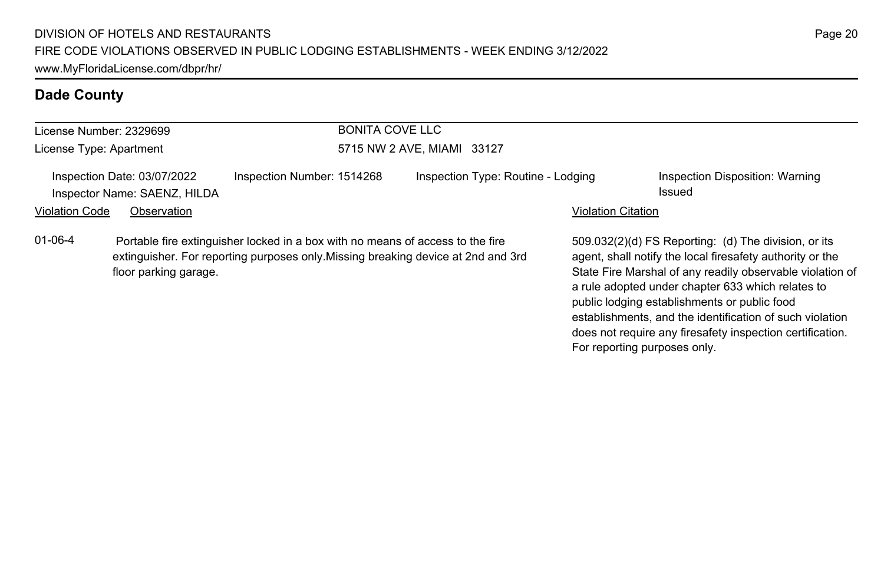|                       | License Number: 2329699                                     | BONITA COVE LLC                                                                                                                                                    |                                    |                           |                                                                                                                                                                                                                                                                                                                                                 |  |  |
|-----------------------|-------------------------------------------------------------|--------------------------------------------------------------------------------------------------------------------------------------------------------------------|------------------------------------|---------------------------|-------------------------------------------------------------------------------------------------------------------------------------------------------------------------------------------------------------------------------------------------------------------------------------------------------------------------------------------------|--|--|
|                       |                                                             |                                                                                                                                                                    |                                    |                           |                                                                                                                                                                                                                                                                                                                                                 |  |  |
|                       | License Type: Apartment                                     |                                                                                                                                                                    | 5715 NW 2 AVE, MIAMI 33127         |                           |                                                                                                                                                                                                                                                                                                                                                 |  |  |
|                       | Inspection Date: 03/07/2022<br>Inspector Name: SAENZ, HILDA | Inspection Number: 1514268                                                                                                                                         | Inspection Type: Routine - Lodging |                           | Inspection Disposition: Warning<br>Issued                                                                                                                                                                                                                                                                                                       |  |  |
| <b>Violation Code</b> | Observation                                                 |                                                                                                                                                                    |                                    | <b>Violation Citation</b> |                                                                                                                                                                                                                                                                                                                                                 |  |  |
| $01 - 06 - 4$         | floor parking garage.                                       | Portable fire extinguisher locked in a box with no means of access to the fire<br>extinguisher. For reporting purposes only Missing breaking device at 2nd and 3rd |                                    |                           | 509.032(2)(d) FS Reporting: (d) The division, or its<br>agent, shall notify the local firesafety authority or the<br>State Fire Marshal of any readily observable violation of<br>a rule adopted under chapter 633 which relates to<br>public lodging establishments or public food<br>establishments, and the identification of such violation |  |  |

does not require any firesafety inspection certification.

For reporting purposes only.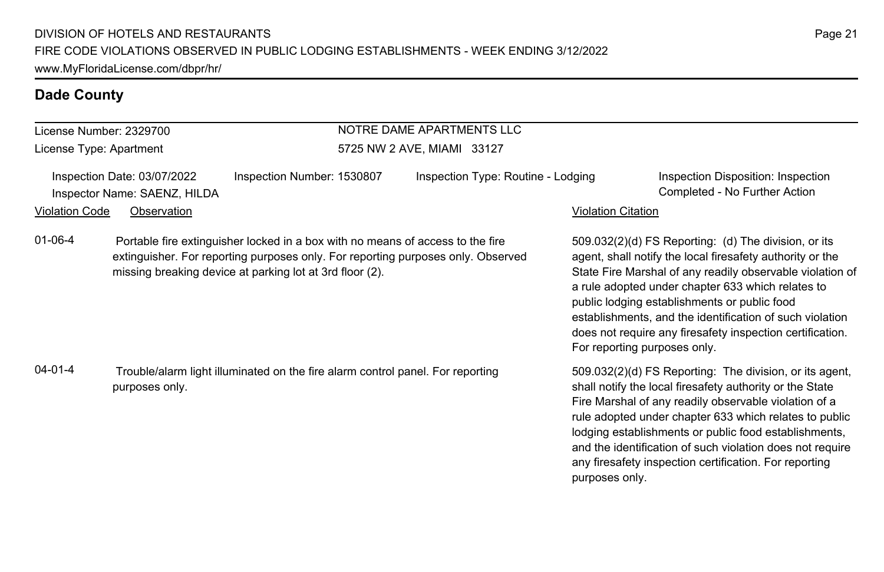#### License Number: 2329700

License Type: Apartment

#### NOTRE DAME APARTMENTS LLC 5725 NW 2 AVE, MIAMI 33127

| Inspection Date: 03/07/2022 |                              | Inspection Number: 1530807 | Inspection Type: Routine - Lodging |                           | Inspection Disposition: Inspection |
|-----------------------------|------------------------------|----------------------------|------------------------------------|---------------------------|------------------------------------|
|                             | Inspector Name: SAENZ, HILDA |                            |                                    |                           | Completed - No Further Action      |
| Violation Code              | Observation                  |                            |                                    | <b>Violation Citation</b> |                                    |

01-06-4 Portable fire extinguisher locked in a box with no means of access to the fire extinguisher. For reporting purposes only. For reporting purposes only. Observed missing breaking device at parking lot at 3rd floor (2).

04-01-4 Trouble/alarm light illuminated on the fire alarm control panel. For reporting purposes only.

509.032(2)(d) FS Reporting: (d) The division, or its agent, shall notify the local firesafety authority or the State Fire Marshal of any readily observable violation of a rule adopted under chapter 633 which relates to public lodging establishments or public food establishments, and the identification of such violation does not require any firesafety inspection certification. For reporting purposes only.

509.032(2)(d) FS Reporting: The division, or its agent, shall notify the local firesafety authority or the State Fire Marshal of any readily observable violation of a rule adopted under chapter 633 which relates to public lodging establishments or public food establishments, and the identification of such violation does not require any firesafety inspection certification. For reporting purposes only.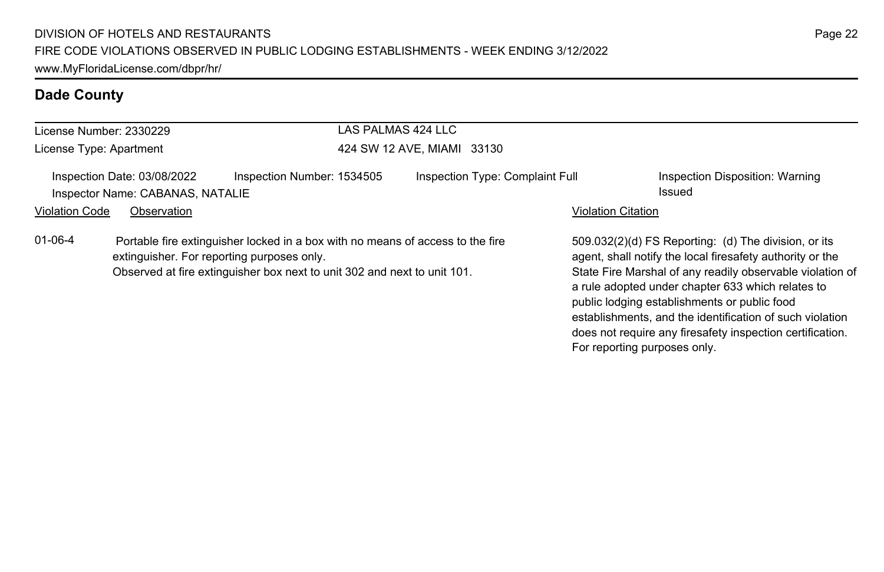| License Number: 2330229 |                                                                 |                                                                                                                                                                                                          | LAS PALMAS 424 LLC |                                 |                           |                                                                                                                                                                                                                                                                                                                                                                                                              |
|-------------------------|-----------------------------------------------------------------|----------------------------------------------------------------------------------------------------------------------------------------------------------------------------------------------------------|--------------------|---------------------------------|---------------------------|--------------------------------------------------------------------------------------------------------------------------------------------------------------------------------------------------------------------------------------------------------------------------------------------------------------------------------------------------------------------------------------------------------------|
| License Type: Apartment |                                                                 | 424 SW 12 AVE, MIAMI 33130                                                                                                                                                                               |                    |                                 |                           |                                                                                                                                                                                                                                                                                                                                                                                                              |
|                         | Inspection Date: 03/08/2022<br>Inspector Name: CABANAS, NATALIE | Inspection Number: 1534505                                                                                                                                                                               |                    | Inspection Type: Complaint Full |                           | Inspection Disposition: Warning<br>Issued                                                                                                                                                                                                                                                                                                                                                                    |
| <b>Violation Code</b>   | Observation                                                     |                                                                                                                                                                                                          |                    |                                 | <b>Violation Citation</b> |                                                                                                                                                                                                                                                                                                                                                                                                              |
| $01 - 06 - 4$           |                                                                 | Portable fire extinguisher locked in a box with no means of access to the fire<br>extinguisher. For reporting purposes only.<br>Observed at fire extinguisher box next to unit 302 and next to unit 101. |                    |                                 |                           | 509.032(2)(d) FS Reporting: (d) The division, or its<br>agent, shall notify the local firesafety authority or the<br>State Fire Marshal of any readily observable violation of<br>a rule adopted under chapter 633 which relates to<br>public lodging establishments or public food<br>establishments, and the identification of such violation<br>does not require any firesafety inspection certification. |

For reporting purposes only.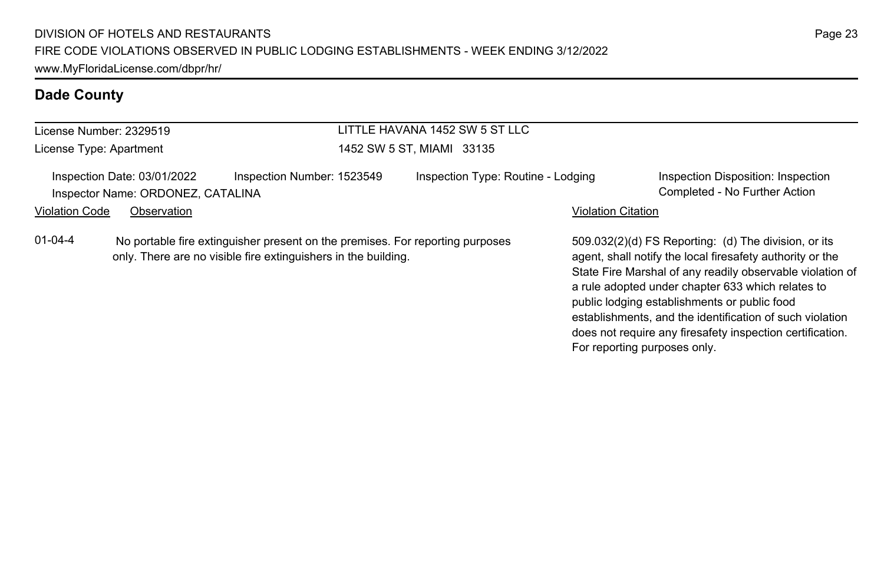| License Number: 2329519 |                                                                  |                                                                                                                                                 | LITTLE HAVANA 1452 SW 5 ST LLC     |                           |                                                                                                                                                                                                                                                                                                                                                                                                                                              |
|-------------------------|------------------------------------------------------------------|-------------------------------------------------------------------------------------------------------------------------------------------------|------------------------------------|---------------------------|----------------------------------------------------------------------------------------------------------------------------------------------------------------------------------------------------------------------------------------------------------------------------------------------------------------------------------------------------------------------------------------------------------------------------------------------|
| License Type: Apartment |                                                                  |                                                                                                                                                 | 1452 SW 5 ST, MIAMI 33135          |                           |                                                                                                                                                                                                                                                                                                                                                                                                                                              |
|                         | Inspection Date: 03/01/2022<br>Inspector Name: ORDONEZ, CATALINA | Inspection Number: 1523549                                                                                                                      | Inspection Type: Routine - Lodging |                           | Inspection Disposition: Inspection<br>Completed - No Further Action                                                                                                                                                                                                                                                                                                                                                                          |
| <b>Violation Code</b>   | Observation                                                      |                                                                                                                                                 |                                    | <b>Violation Citation</b> |                                                                                                                                                                                                                                                                                                                                                                                                                                              |
| $01 - 04 - 4$           |                                                                  | No portable fire extinguisher present on the premises. For reporting purposes<br>only. There are no visible fire extinguishers in the building. |                                    |                           | 509.032(2)(d) FS Reporting: (d) The division, or its<br>agent, shall notify the local firesafety authority or the<br>State Fire Marshal of any readily observable violation of<br>a rule adopted under chapter 633 which relates to<br>public lodging establishments or public food<br>establishments, and the identification of such violation<br>does not require any firesafety inspection certification.<br>For reporting purposes only. |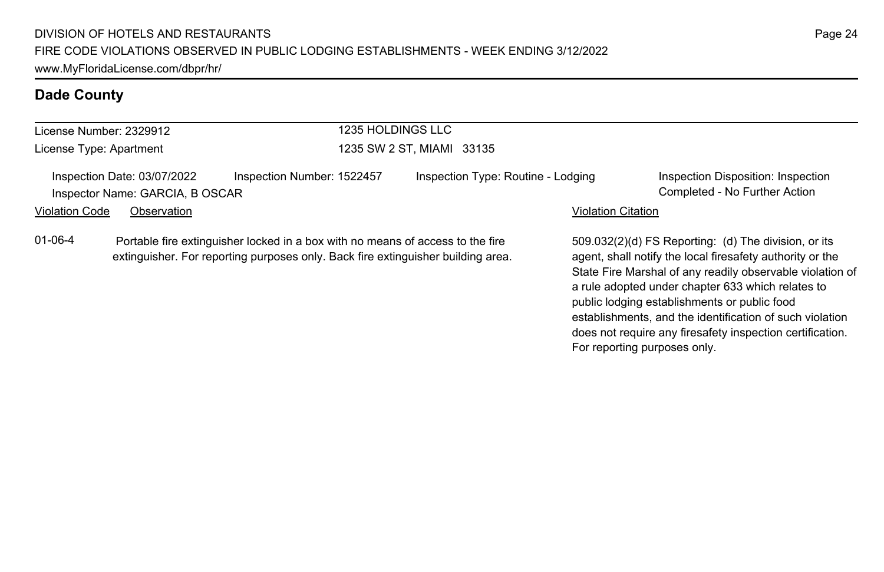| License Number: 2329912 |                                                                |                                                                                                                                                                    | 1235 HOLDINGS LLC                  |                           |                                                                                                                                                                                |  |
|-------------------------|----------------------------------------------------------------|--------------------------------------------------------------------------------------------------------------------------------------------------------------------|------------------------------------|---------------------------|--------------------------------------------------------------------------------------------------------------------------------------------------------------------------------|--|
| License Type: Apartment |                                                                |                                                                                                                                                                    | 1235 SW 2 ST, MIAMI 33135          |                           |                                                                                                                                                                                |  |
|                         | Inspection Date: 03/07/2022<br>Inspector Name: GARCIA, B OSCAR | Inspection Number: 1522457                                                                                                                                         | Inspection Type: Routine - Lodging |                           | Inspection Disposition: Inspection<br>Completed - No Further Action                                                                                                            |  |
| <b>Violation Code</b>   | Observation                                                    |                                                                                                                                                                    |                                    | <b>Violation Citation</b> |                                                                                                                                                                                |  |
| $01 - 06 - 4$           |                                                                | Portable fire extinguisher locked in a box with no means of access to the fire<br>extinguisher. For reporting purposes only. Back fire extinguisher building area. |                                    |                           | 509.032(2)(d) FS Reporting: (d) The division, or its<br>agent, shall notify the local firesafety authority or the<br>State Fire Marshal of any readily observable violation of |  |

a rule adopted under chapter 633 which relates to public lodging establishments or public food

For reporting purposes only.

establishments, and the identification of such violation does not require any firesafety inspection certification.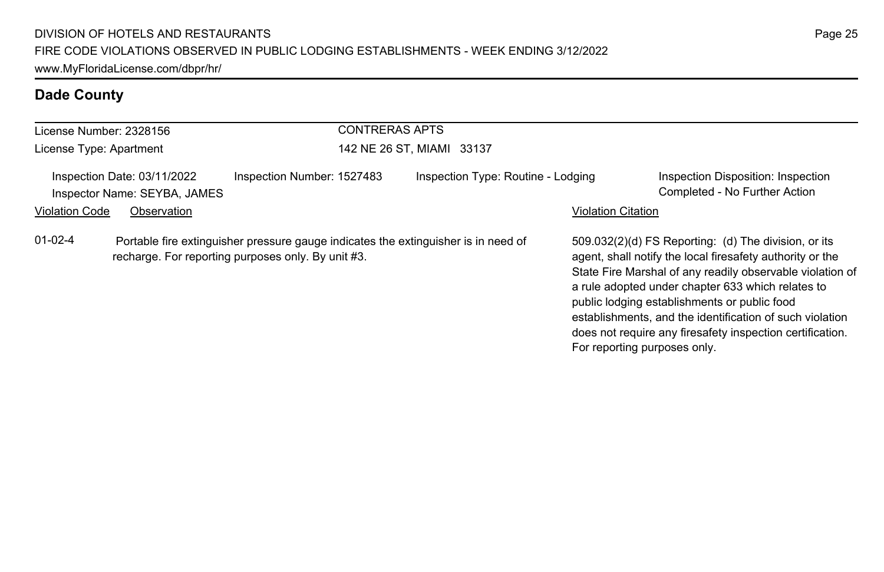| License Number: 2328156 |                                                             | <b>CONTRERAS APTS</b>                                                                                                                    |                                    |                           |                                                                                                                                                                                                                                                                                                                                                                                                                                              |
|-------------------------|-------------------------------------------------------------|------------------------------------------------------------------------------------------------------------------------------------------|------------------------------------|---------------------------|----------------------------------------------------------------------------------------------------------------------------------------------------------------------------------------------------------------------------------------------------------------------------------------------------------------------------------------------------------------------------------------------------------------------------------------------|
| License Type: Apartment |                                                             |                                                                                                                                          | 142 NE 26 ST, MIAMI 33137          |                           |                                                                                                                                                                                                                                                                                                                                                                                                                                              |
|                         | Inspection Date: 03/11/2022<br>Inspector Name: SEYBA, JAMES | Inspection Number: 1527483                                                                                                               | Inspection Type: Routine - Lodging |                           | Inspection Disposition: Inspection<br>Completed - No Further Action                                                                                                                                                                                                                                                                                                                                                                          |
| <b>Violation Code</b>   | Observation                                                 |                                                                                                                                          |                                    | <b>Violation Citation</b> |                                                                                                                                                                                                                                                                                                                                                                                                                                              |
| $01-02-4$               |                                                             | Portable fire extinguisher pressure gauge indicates the extinguisher is in need of<br>recharge. For reporting purposes only. By unit #3. |                                    |                           | 509.032(2)(d) FS Reporting: (d) The division, or its<br>agent, shall notify the local firesafety authority or the<br>State Fire Marshal of any readily observable violation of<br>a rule adopted under chapter 633 which relates to<br>public lodging establishments or public food<br>establishments, and the identification of such violation<br>does not require any firesafety inspection certification.<br>For reporting purposes only. |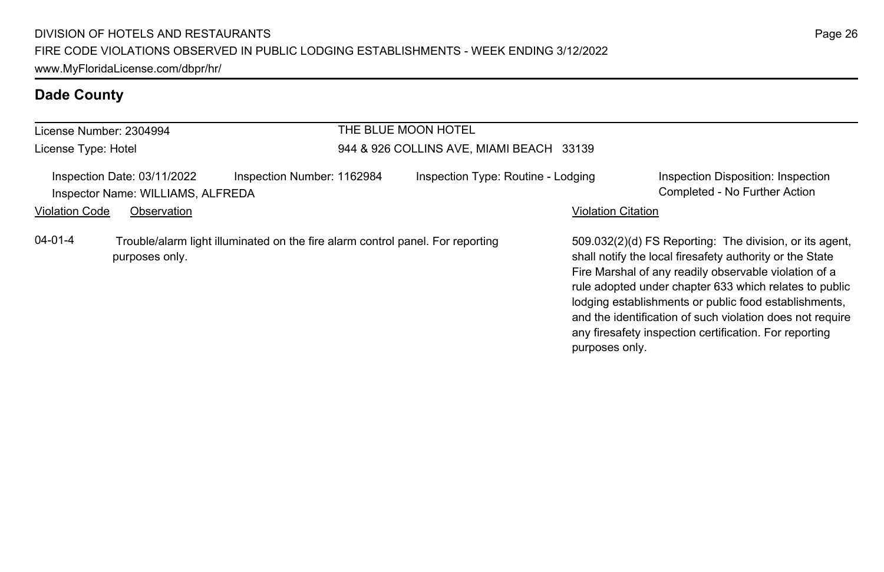| License Number: 2304994 |                                                                  |                                                                                | THE BLUE MOON HOTEL                      |                           |                                                                                                                                                                                                                                                                                                                                                                                                                        |
|-------------------------|------------------------------------------------------------------|--------------------------------------------------------------------------------|------------------------------------------|---------------------------|------------------------------------------------------------------------------------------------------------------------------------------------------------------------------------------------------------------------------------------------------------------------------------------------------------------------------------------------------------------------------------------------------------------------|
| License Type: Hotel     |                                                                  |                                                                                | 944 & 926 COLLINS AVE, MIAMI BEACH 33139 |                           |                                                                                                                                                                                                                                                                                                                                                                                                                        |
|                         | Inspection Date: 03/11/2022<br>Inspector Name: WILLIAMS, ALFREDA | Inspection Number: 1162984                                                     | Inspection Type: Routine - Lodging       |                           | Inspection Disposition: Inspection<br>Completed - No Further Action                                                                                                                                                                                                                                                                                                                                                    |
| <b>Violation Code</b>   | Observation                                                      |                                                                                |                                          | <b>Violation Citation</b> |                                                                                                                                                                                                                                                                                                                                                                                                                        |
| $04 - 01 - 4$           | purposes only.                                                   | Trouble/alarm light illuminated on the fire alarm control panel. For reporting |                                          |                           | 509.032(2)(d) FS Reporting: The division, or its agent.<br>shall notify the local firesafety authority or the State<br>Fire Marshal of any readily observable violation of a<br>rule adopted under chapter 633 which relates to public<br>lodging establishments or public food establishments,<br>and the identification of such violation does not require<br>any firesafety inspection certification. For reporting |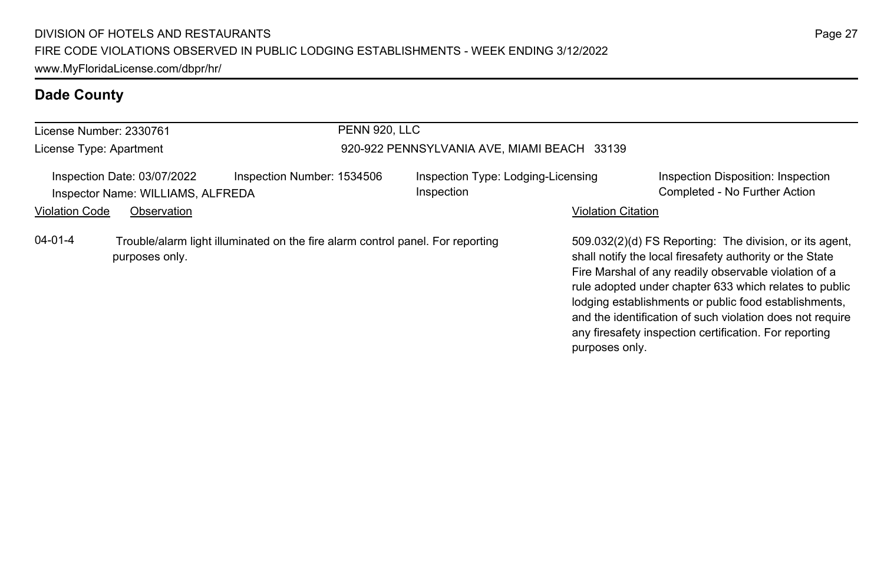| License Number: 2330761 |                                                                  |                                                                                | PENN 920. LLC |                                                  |                           |                                                                                                                                                                                                                                                                                                                                                                                                                        |
|-------------------------|------------------------------------------------------------------|--------------------------------------------------------------------------------|---------------|--------------------------------------------------|---------------------------|------------------------------------------------------------------------------------------------------------------------------------------------------------------------------------------------------------------------------------------------------------------------------------------------------------------------------------------------------------------------------------------------------------------------|
| License Type: Apartment |                                                                  |                                                                                |               | 920-922 PENNSYLVANIA AVE, MIAMI BEACH 33139      |                           |                                                                                                                                                                                                                                                                                                                                                                                                                        |
|                         | Inspection Date: 03/07/2022<br>Inspector Name: WILLIAMS, ALFREDA | Inspection Number: 1534506                                                     |               | Inspection Type: Lodging-Licensing<br>Inspection |                           | Inspection Disposition: Inspection<br>Completed - No Further Action                                                                                                                                                                                                                                                                                                                                                    |
| <b>Violation Code</b>   | Observation                                                      |                                                                                |               |                                                  | <b>Violation Citation</b> |                                                                                                                                                                                                                                                                                                                                                                                                                        |
| 04-01-4                 | purposes only.                                                   | Trouble/alarm light illuminated on the fire alarm control panel. For reporting |               |                                                  | purposes only.            | 509.032(2)(d) FS Reporting: The division, or its agent,<br>shall notify the local firesafety authority or the State<br>Fire Marshal of any readily observable violation of a<br>rule adopted under chapter 633 which relates to public<br>lodging establishments or public food establishments,<br>and the identification of such violation does not require<br>any firesafety inspection certification. For reporting |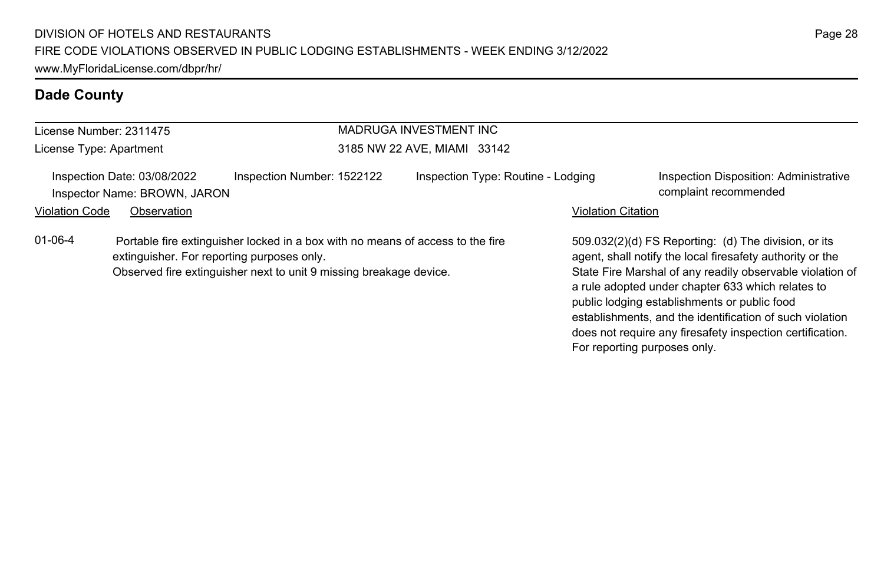| License Number: 2311475 |                                                             |                                                                                                                                                      | MADRUGA INVESTMENT INC             |                           |                                                                                                                                                                                                                                                                                                                                                                                                              |
|-------------------------|-------------------------------------------------------------|------------------------------------------------------------------------------------------------------------------------------------------------------|------------------------------------|---------------------------|--------------------------------------------------------------------------------------------------------------------------------------------------------------------------------------------------------------------------------------------------------------------------------------------------------------------------------------------------------------------------------------------------------------|
| License Type: Apartment |                                                             |                                                                                                                                                      | 3185 NW 22 AVE, MIAMI 33142        |                           |                                                                                                                                                                                                                                                                                                                                                                                                              |
|                         | Inspection Date: 03/08/2022<br>Inspector Name: BROWN, JARON | Inspection Number: 1522122                                                                                                                           | Inspection Type: Routine - Lodging |                           | Inspection Disposition: Administrative<br>complaint recommended                                                                                                                                                                                                                                                                                                                                              |
| <b>Violation Code</b>   | Observation                                                 |                                                                                                                                                      |                                    | <b>Violation Citation</b> |                                                                                                                                                                                                                                                                                                                                                                                                              |
| $01 - 06 - 4$           | extinguisher. For reporting purposes only.                  | Portable fire extinguisher locked in a box with no means of access to the fire<br>Observed fire extinguisher next to unit 9 missing breakage device. |                                    |                           | 509.032(2)(d) FS Reporting: (d) The division, or its<br>agent, shall notify the local firesafety authority or the<br>State Fire Marshal of any readily observable violation of<br>a rule adopted under chapter 633 which relates to<br>public lodging establishments or public food<br>establishments, and the identification of such violation<br>does not require any firesafety inspection certification. |

For reporting purposes only.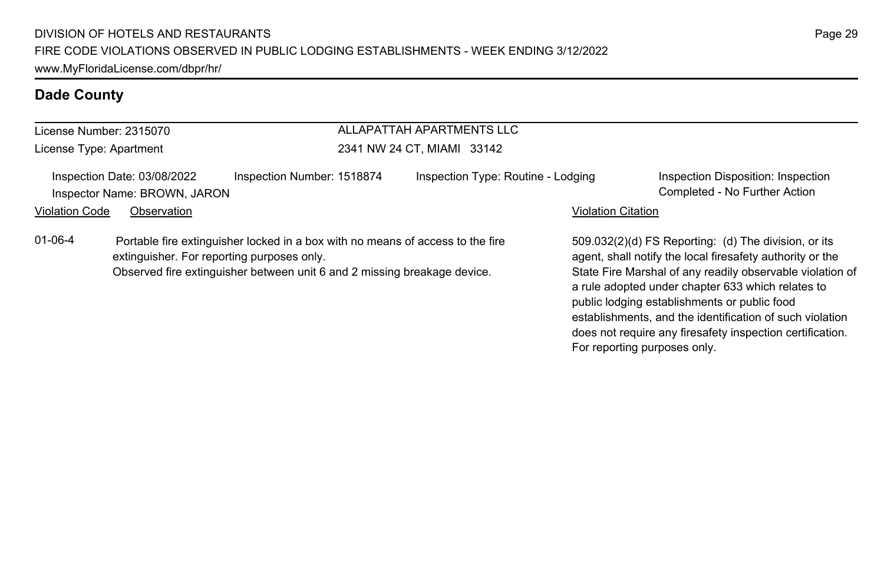| License Number: 2315070<br>License Type: Apartment |                                                             |                                                                                                                                                                                                          | ALLAPATTAH APARTMENTS LLC<br>2341 NW 24 CT, MIAMI 33142 |                           |                                                                                                                                                                                                                                                                                     |  |
|----------------------------------------------------|-------------------------------------------------------------|----------------------------------------------------------------------------------------------------------------------------------------------------------------------------------------------------------|---------------------------------------------------------|---------------------------|-------------------------------------------------------------------------------------------------------------------------------------------------------------------------------------------------------------------------------------------------------------------------------------|--|
|                                                    |                                                             |                                                                                                                                                                                                          |                                                         |                           |                                                                                                                                                                                                                                                                                     |  |
|                                                    | Inspection Date: 03/08/2022<br>Inspector Name: BROWN, JARON | Inspection Number: 1518874                                                                                                                                                                               | Inspection Type: Routine - Lodging                      |                           | Inspection Disposition: Inspection<br>Completed - No Further Action                                                                                                                                                                                                                 |  |
| <b>Violation Code</b>                              | Observation                                                 |                                                                                                                                                                                                          |                                                         | <b>Violation Citation</b> |                                                                                                                                                                                                                                                                                     |  |
| $01 - 06 - 4$                                      |                                                             | Portable fire extinguisher locked in a box with no means of access to the fire<br>extinguisher. For reporting purposes only.<br>Observed fire extinguisher between unit 6 and 2 missing breakage device. |                                                         |                           | 509.032(2)(d) FS Reporting: (d) The division, or its<br>agent, shall notify the local firesafety authority or the<br>State Fire Marshal of any readily observable violation of<br>a rule adopted under chapter 633 which relates to<br>public lodging establishments or public food |  |

establishments, and the identification of such violation does not require any firesafety inspection certification.

For reporting purposes only.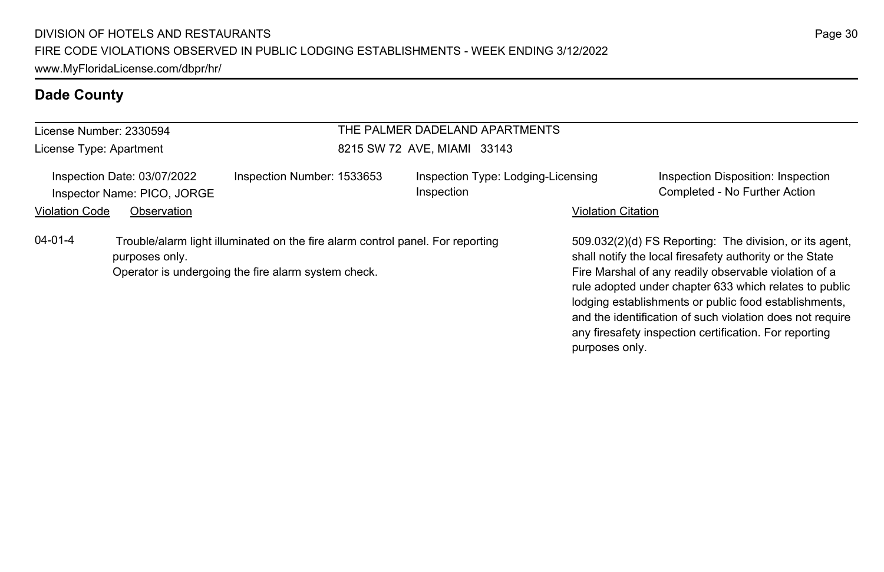| License Number: 2330594                                    |                |                                                                                                                                       | THE PALMER DADELAND APARTMENTS                   |                           |                                                                                                                                                                                                                                                                                                                                                                                                                        |  |  |
|------------------------------------------------------------|----------------|---------------------------------------------------------------------------------------------------------------------------------------|--------------------------------------------------|---------------------------|------------------------------------------------------------------------------------------------------------------------------------------------------------------------------------------------------------------------------------------------------------------------------------------------------------------------------------------------------------------------------------------------------------------------|--|--|
| License Type: Apartment                                    |                |                                                                                                                                       | 8215 SW 72 AVE, MIAMI 33143                      |                           |                                                                                                                                                                                                                                                                                                                                                                                                                        |  |  |
| Inspection Date: 03/07/2022<br>Inspector Name: PICO, JORGE |                | Inspection Number: 1533653                                                                                                            | Inspection Type: Lodging-Licensing<br>Inspection |                           | Inspection Disposition: Inspection<br>Completed - No Further Action                                                                                                                                                                                                                                                                                                                                                    |  |  |
| <b>Violation Code</b>                                      | Observation    |                                                                                                                                       |                                                  | <b>Violation Citation</b> |                                                                                                                                                                                                                                                                                                                                                                                                                        |  |  |
| $04 - 01 - 4$                                              | purposes only. | Trouble/alarm light illuminated on the fire alarm control panel. For reporting<br>Operator is undergoing the fire alarm system check. |                                                  | purposes only.            | 509.032(2)(d) FS Reporting: The division, or its agent.<br>shall notify the local firesafety authority or the State<br>Fire Marshal of any readily observable violation of a<br>rule adopted under chapter 633 which relates to public<br>lodging establishments or public food establishments,<br>and the identification of such violation does not require<br>any firesafety inspection certification. For reporting |  |  |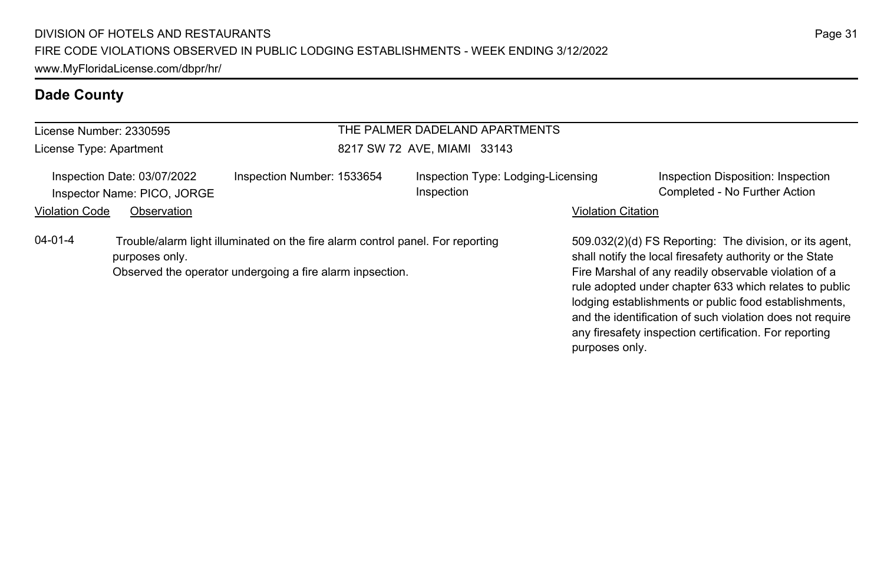| License Number: 2330595 |                                                            |                                                                                                                                             | THE PALMER DADELAND APARTMENTS                   |                           |                                                                                                                                                                                                                                                                                                                                                                                                                        |
|-------------------------|------------------------------------------------------------|---------------------------------------------------------------------------------------------------------------------------------------------|--------------------------------------------------|---------------------------|------------------------------------------------------------------------------------------------------------------------------------------------------------------------------------------------------------------------------------------------------------------------------------------------------------------------------------------------------------------------------------------------------------------------|
| License Type: Apartment |                                                            |                                                                                                                                             | 8217 SW 72 AVE, MIAMI 33143                      |                           |                                                                                                                                                                                                                                                                                                                                                                                                                        |
|                         | Inspection Date: 03/07/2022<br>Inspector Name: PICO, JORGE | Inspection Number: 1533654                                                                                                                  | Inspection Type: Lodging-Licensing<br>Inspection |                           | Inspection Disposition: Inspection<br>Completed - No Further Action                                                                                                                                                                                                                                                                                                                                                    |
| <b>Violation Code</b>   | Observation                                                |                                                                                                                                             |                                                  | <b>Violation Citation</b> |                                                                                                                                                                                                                                                                                                                                                                                                                        |
| $04 - 01 - 4$           | purposes only.                                             | Trouble/alarm light illuminated on the fire alarm control panel. For reporting<br>Observed the operator undergoing a fire alarm inpsection. |                                                  |                           | 509.032(2)(d) FS Reporting: The division, or its agent,<br>shall notify the local firesafety authority or the State<br>Fire Marshal of any readily observable violation of a<br>rule adopted under chapter 633 which relates to public<br>lodging establishments or public food establishments,<br>and the identification of such violation does not require<br>any firesafety inspection certification. For reporting |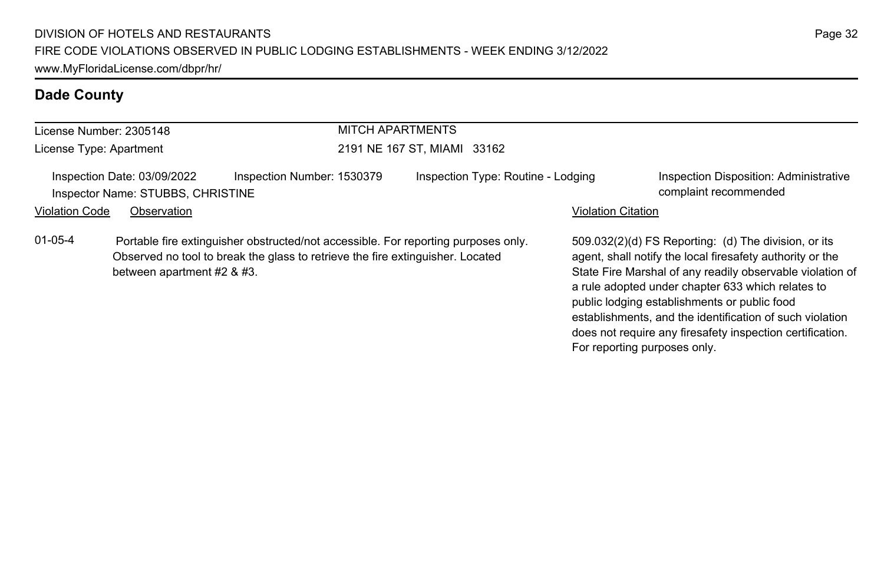| License Number: 2305148 |                                                                  |                                                                                                                                                                      | MITCH APARTMENTS<br>2191 NE 167 ST, MIAMI 33162 |                           |                                                                                                                                                                                                                                                                                     |  |
|-------------------------|------------------------------------------------------------------|----------------------------------------------------------------------------------------------------------------------------------------------------------------------|-------------------------------------------------|---------------------------|-------------------------------------------------------------------------------------------------------------------------------------------------------------------------------------------------------------------------------------------------------------------------------------|--|
| License Type: Apartment |                                                                  |                                                                                                                                                                      |                                                 |                           |                                                                                                                                                                                                                                                                                     |  |
|                         | Inspection Date: 03/09/2022<br>Inspector Name: STUBBS, CHRISTINE | Inspection Number: 1530379                                                                                                                                           | Inspection Type: Routine - Lodging              |                           | Inspection Disposition: Administrative<br>complaint recommended                                                                                                                                                                                                                     |  |
| <b>Violation Code</b>   | Observation                                                      |                                                                                                                                                                      |                                                 | <b>Violation Citation</b> |                                                                                                                                                                                                                                                                                     |  |
| $01-05-4$               | between apartment #2 & #3.                                       | Portable fire extinguisher obstructed/not accessible. For reporting purposes only.<br>Observed no tool to break the glass to retrieve the fire extinguisher. Located |                                                 |                           | 509.032(2)(d) FS Reporting: (d) The division, or its<br>agent, shall notify the local firesafety authority or the<br>State Fire Marshal of any readily observable violation of<br>a rule adopted under chapter 633 which relates to<br>public lodging establishments or public food |  |

establishments, and the identification of such violation does not require any firesafety inspection certification.

For reporting purposes only.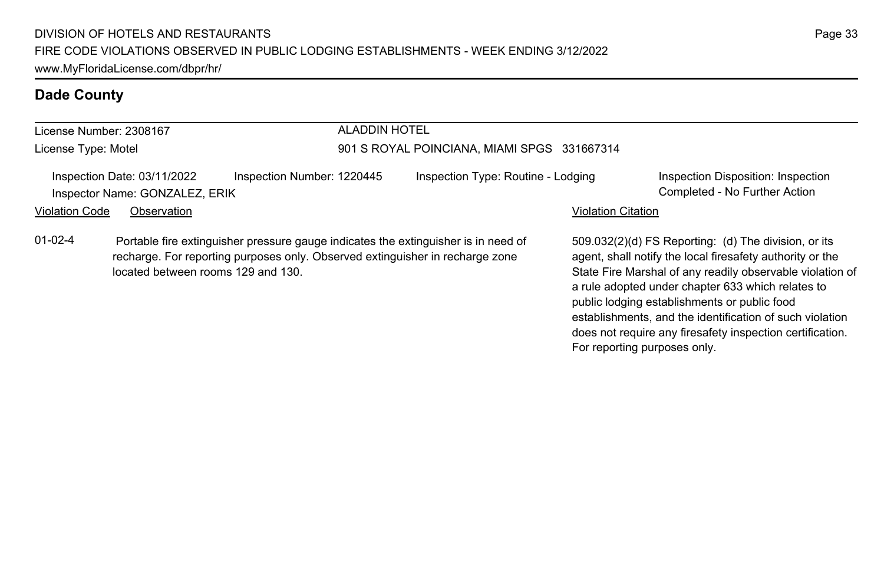| License Number: 2308167 |                                                               |                                                                                                                                                                     | <b>ALADDIN HOTEL</b>                        |                           |                                                                                                                                                                                                                                                                                     |  |
|-------------------------|---------------------------------------------------------------|---------------------------------------------------------------------------------------------------------------------------------------------------------------------|---------------------------------------------|---------------------------|-------------------------------------------------------------------------------------------------------------------------------------------------------------------------------------------------------------------------------------------------------------------------------------|--|
| License Type: Motel     |                                                               |                                                                                                                                                                     | 901 S ROYAL POINCIANA, MIAMI SPGS 331667314 |                           |                                                                                                                                                                                                                                                                                     |  |
|                         | Inspection Date: 03/11/2022<br>Inspector Name: GONZALEZ, ERIK | Inspection Number: 1220445                                                                                                                                          | Inspection Type: Routine - Lodging          |                           | Inspection Disposition: Inspection<br>Completed - No Further Action                                                                                                                                                                                                                 |  |
| <b>Violation Code</b>   | Observation                                                   |                                                                                                                                                                     |                                             | <b>Violation Citation</b> |                                                                                                                                                                                                                                                                                     |  |
| $01-02-4$               | located between rooms 129 and 130.                            | Portable fire extinguisher pressure gauge indicates the extinguisher is in need of<br>recharge. For reporting purposes only. Observed extinguisher in recharge zone |                                             |                           | 509.032(2)(d) FS Reporting: (d) The division, or its<br>agent, shall notify the local firesafety authority or the<br>State Fire Marshal of any readily observable violation of<br>a rule adopted under chapter 633 which relates to<br>public lodging establishments or public food |  |

establishments, and the identification of such violation does not require any firesafety inspection certification.

For reporting purposes only.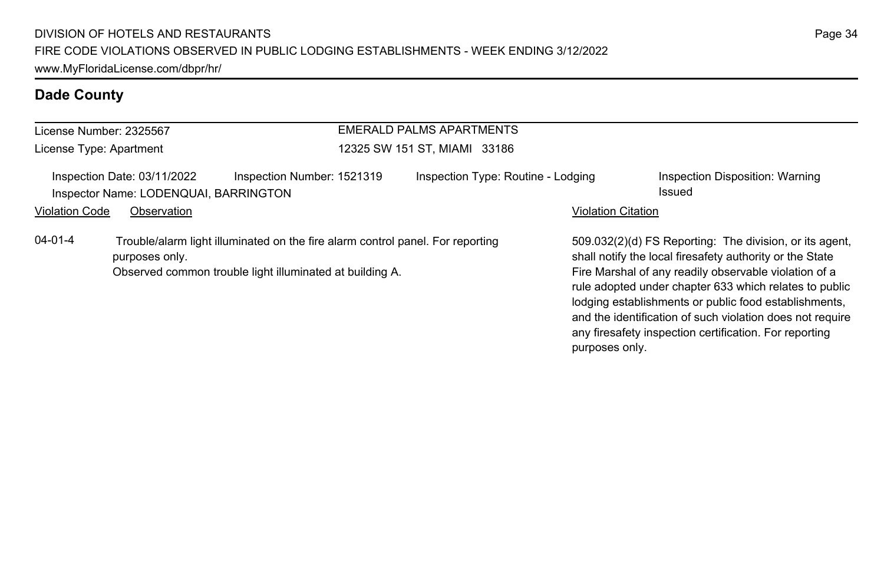| License Number: 2325567 |                                                                      |                                                                                                                                            | EMERALD PALMS APARTMENTS           |                           |                                                                                                                                                                                                                                                                                                                                                                                                                        |
|-------------------------|----------------------------------------------------------------------|--------------------------------------------------------------------------------------------------------------------------------------------|------------------------------------|---------------------------|------------------------------------------------------------------------------------------------------------------------------------------------------------------------------------------------------------------------------------------------------------------------------------------------------------------------------------------------------------------------------------------------------------------------|
| License Type: Apartment |                                                                      |                                                                                                                                            | 12325 SW 151 ST. MIAMI 33186       |                           |                                                                                                                                                                                                                                                                                                                                                                                                                        |
|                         | Inspection Date: 03/11/2022<br>Inspector Name: LODENQUAI, BARRINGTON | Inspection Number: 1521319                                                                                                                 | Inspection Type: Routine - Lodging |                           | Inspection Disposition: Warning<br>Issued                                                                                                                                                                                                                                                                                                                                                                              |
| <b>Violation Code</b>   | Observation                                                          |                                                                                                                                            |                                    | <b>Violation Citation</b> |                                                                                                                                                                                                                                                                                                                                                                                                                        |
| $04 - 01 - 4$           | purposes only.                                                       | Trouble/alarm light illuminated on the fire alarm control panel. For reporting<br>Observed common trouble light illuminated at building A. |                                    |                           | 509.032(2)(d) FS Reporting: The division, or its agent,<br>shall notify the local firesafety authority or the State<br>Fire Marshal of any readily observable violation of a<br>rule adopted under chapter 633 which relates to public<br>lodging establishments or public food establishments,<br>and the identification of such violation does not require<br>any firesafety inspection certification. For reporting |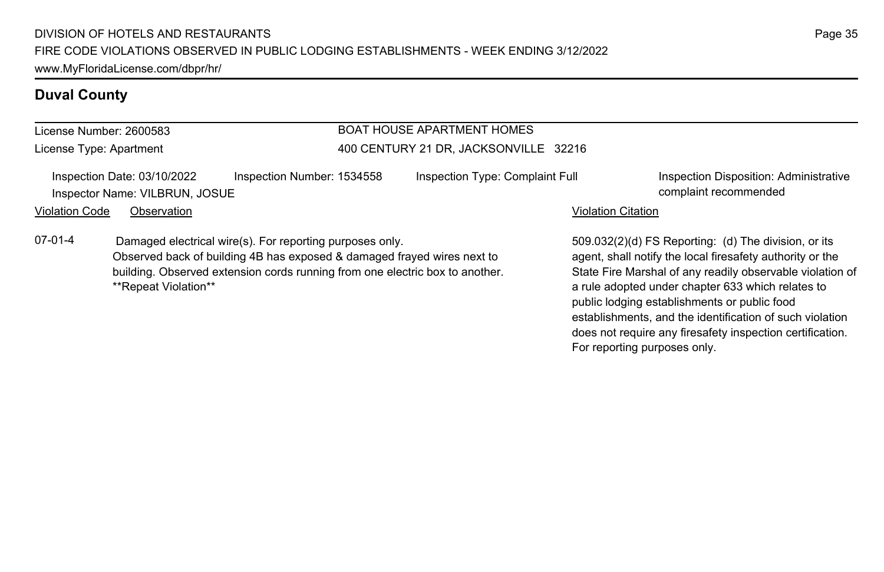Observed back of building 4B has exposed & damaged frayed wires next to building. Observed extension cords running from one electric box to another.

#### **Duval County**

#### License Number: 2600583

License Type: Apartment

#### BOAT HOUSE APARTMENT HOMES 400 CENTURY 21 DR, JACKSONVILLE 32216

Inspection Date: 03/10/2022 Inspection Number: 1534558 Inspection Type: Complaint Full Inspection Disposition: Administrative Inspector Name: VILBRUN, JOSUE complaint recommended

\*\*Repeat Violation\*\*

07-01-4 Damaged electrical wire(s). For reporting purposes only.

#### Violation Code Observation **Violation Code Observation** Violation Citation Citation Citation Citation Citation Citation Citation Citation Citation Citation Citation Citation Citation Citation Citation Citation Citation Cit

509.032(2)(d) FS Reporting: (d) The division, or its agent, shall notify the local firesafety authority or the State Fire Marshal of any readily observable violation of a rule adopted under chapter 633 which relates to public lodging establishments or public food establishments, and the identification of such violation does not require any firesafety inspection certification. For reporting purposes only.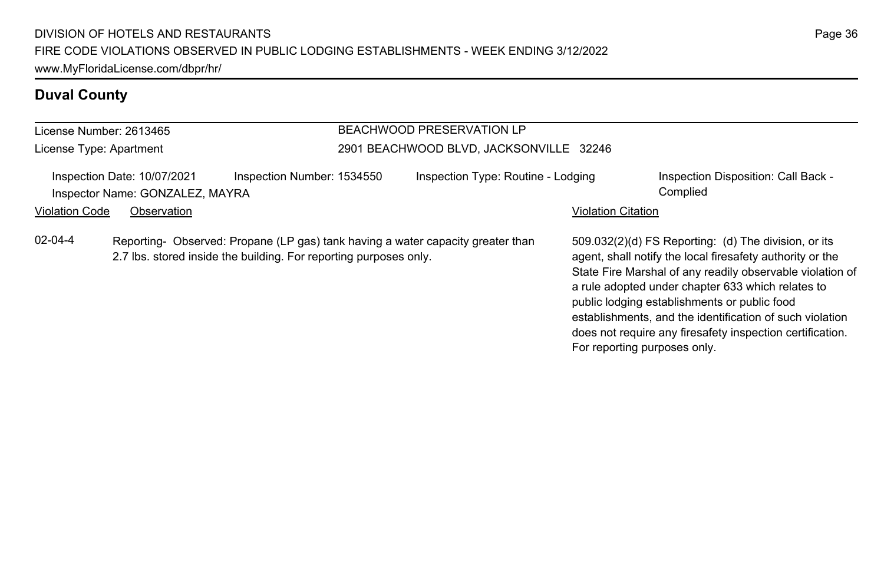# **Duval County**

| License Number: 2613465 |                                                                               |                                                                                                                                                      | <b>BEACHWOOD PRESERVATION LP</b>        |                              |                                                                                                                                                                                                                                                                                                                                                                                                              |
|-------------------------|-------------------------------------------------------------------------------|------------------------------------------------------------------------------------------------------------------------------------------------------|-----------------------------------------|------------------------------|--------------------------------------------------------------------------------------------------------------------------------------------------------------------------------------------------------------------------------------------------------------------------------------------------------------------------------------------------------------------------------------------------------------|
| License Type: Apartment |                                                                               |                                                                                                                                                      | 2901 BEACHWOOD BLVD, JACKSONVILLE 32246 |                              |                                                                                                                                                                                                                                                                                                                                                                                                              |
| <b>Violation Code</b>   | Inspection Date: 10/07/2021<br>Inspector Name: GONZALEZ, MAYRA<br>Observation | Inspection Number: 1534550                                                                                                                           | Inspection Type: Routine - Lodging      | <b>Violation Citation</b>    | Inspection Disposition: Call Back -<br>Complied                                                                                                                                                                                                                                                                                                                                                              |
| $02 - 04 - 4$           |                                                                               | Reporting- Observed: Propane (LP gas) tank having a water capacity greater than<br>2.7 lbs. stored inside the building. For reporting purposes only. |                                         | For reporting purposes only. | 509.032(2)(d) FS Reporting: (d) The division, or its<br>agent, shall notify the local firesafety authority or the<br>State Fire Marshal of any readily observable violation of<br>a rule adopted under chapter 633 which relates to<br>public lodging establishments or public food<br>establishments, and the identification of such violation<br>does not require any firesafety inspection certification. |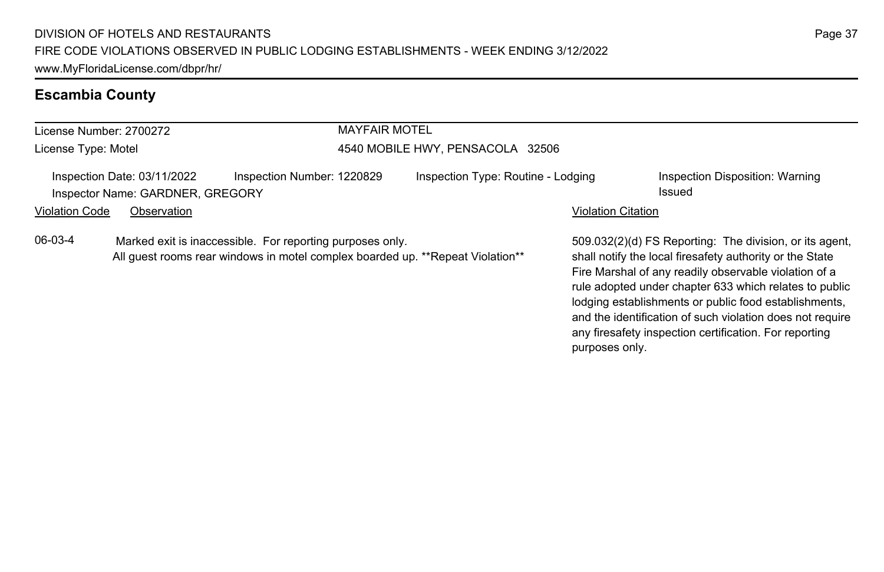# **Escambia County**

| License Number: 2700272 |                                                                 |                                                           | <b>MAYFAIR MOTEL</b>             |                                                                                |                           |                                                                                                                                                                                                                                        |  |
|-------------------------|-----------------------------------------------------------------|-----------------------------------------------------------|----------------------------------|--------------------------------------------------------------------------------|---------------------------|----------------------------------------------------------------------------------------------------------------------------------------------------------------------------------------------------------------------------------------|--|
| License Type: Motel     |                                                                 |                                                           | 4540 MOBILE HWY, PENSACOLA 32506 |                                                                                |                           |                                                                                                                                                                                                                                        |  |
|                         | Inspection Date: 03/11/2022<br>Inspector Name: GARDNER, GREGORY | Inspection Number: 1220829                                |                                  | Inspection Type: Routine - Lodging                                             |                           | Inspection Disposition: Warning<br>Issued                                                                                                                                                                                              |  |
| <b>Violation Code</b>   | Observation                                                     |                                                           |                                  |                                                                                | <b>Violation Citation</b> |                                                                                                                                                                                                                                        |  |
| 06-03-4                 |                                                                 | Marked exit is inaccessible. For reporting purposes only. |                                  | All quest rooms rear windows in motel complex boarded up. **Repeat Violation** |                           | 509.032(2)(d) FS Reporting: The division, or its agent.<br>shall notify the local firesafety authority or the State<br>Fire Marshal of any readily observable violation of a<br>rule adopted under chapter 633 which relates to public |  |

lodging establishments or public food establishments, and the identification of such violation does not require any firesafety inspection certification. For reporting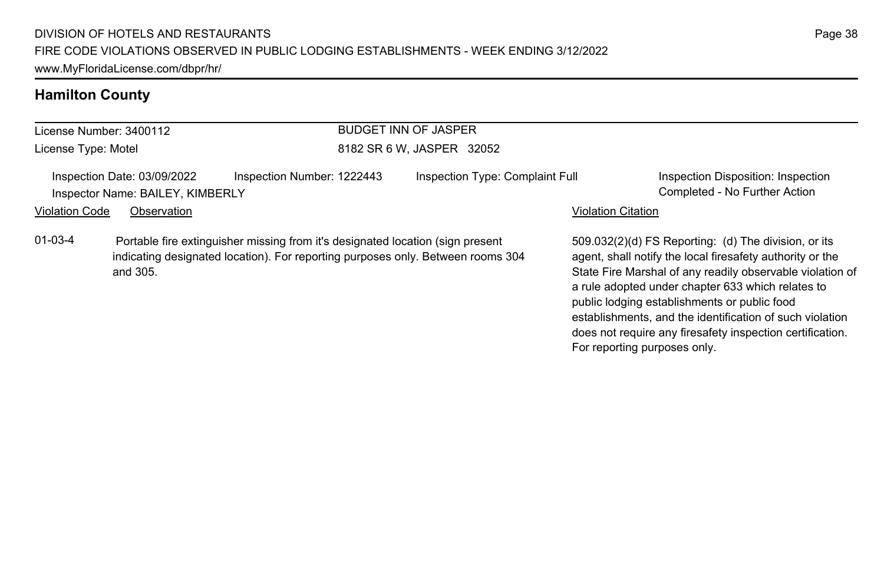# **Hamilton County**

|                       | License Number: 3400112                                         |                                                                                                                                                                   | <b>BUDGET INN OF JASPER</b>     |                           |                                                                                                                                                                                                                                                                                     |
|-----------------------|-----------------------------------------------------------------|-------------------------------------------------------------------------------------------------------------------------------------------------------------------|---------------------------------|---------------------------|-------------------------------------------------------------------------------------------------------------------------------------------------------------------------------------------------------------------------------------------------------------------------------------|
| License Type: Motel   |                                                                 |                                                                                                                                                                   | 8182 SR 6 W, JASPER 32052       |                           |                                                                                                                                                                                                                                                                                     |
|                       | Inspection Date: 03/09/2022<br>Inspector Name: BAILEY, KIMBERLY | Inspection Number: 1222443                                                                                                                                        | Inspection Type: Complaint Full |                           | Inspection Disposition: Inspection<br>Completed - No Further Action                                                                                                                                                                                                                 |
| <b>Violation Code</b> | Observation                                                     |                                                                                                                                                                   |                                 | <b>Violation Citation</b> |                                                                                                                                                                                                                                                                                     |
| $01 - 03 - 4$         | and 305.                                                        | Portable fire extinguisher missing from it's designated location (sign present<br>indicating designated location). For reporting purposes only. Between rooms 304 |                                 |                           | 509.032(2)(d) FS Reporting: (d) The division, or its<br>agent, shall notify the local firesafety authority or the<br>State Fire Marshal of any readily observable violation of<br>a rule adopted under chapter 633 which relates to<br>public lodging establishments or public food |

establishments, and the identification of such violation does not require any firesafety inspection certification.

For reporting purposes only.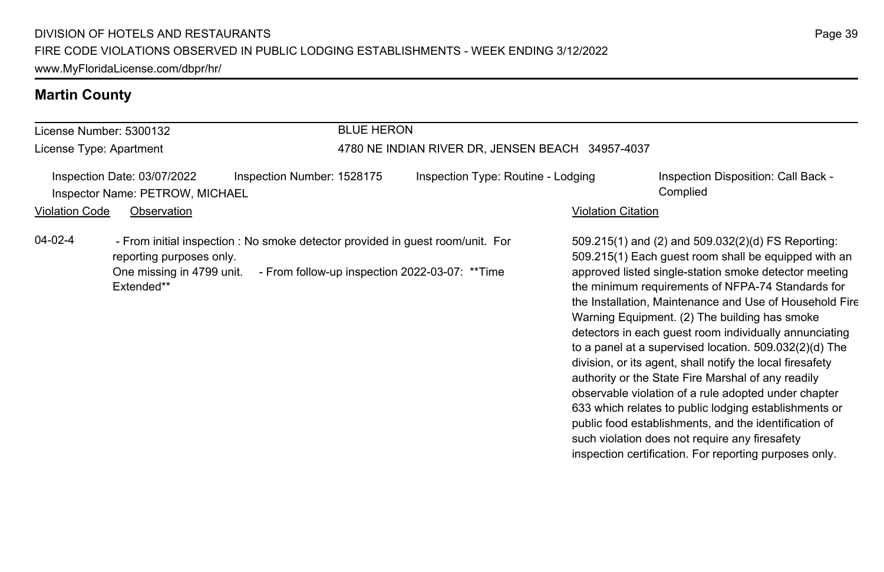#### **Martin County**

#### License Number: 5300132 License Type: Apartment BLUE HERON 4780 NE INDIAN RIVER DR, JENSEN BEACH 34957-4037 Inspection Date: 03/07/2022 Inspection Number: 1528175 Inspection Type: Routine - Lodging Inspection Disposition: Call Back -Inspector Name: PETROW, MICHAEL Complied Violation Code Observation **Violation Code** Observation **Violation** Violation Citation Citation Citation Citation 509.215(1) and (2) and 509.032(2)(d) FS Reporting: 509.215(1) Each guest room shall be equipped with an approved listed single-station smoke detector meeting the minimum requirements of NFPA-74 Standards for the Installation, Maintenance and Use of Household Fire Warning Equipment. (2) The building has smoke detectors in each guest room individually annunciating to a panel at a supervised location. 509.032(2)(d) The division, or its agent, shall notify the local firesafety authority or the State Fire Marshal of any readily 04-02-4 - From initial inspection : No smoke detector provided in quest room/unit. For reporting purposes only. One missing in 4799 unit. - From follow-up inspection 2022-03-07: \*\*Time Extended\*\*

observable violation of a rule adopted under chapter 633 which relates to public lodging establishments or public food establishments, and the identification of such violation does not require any firesafety inspection certification. For reporting purposes only.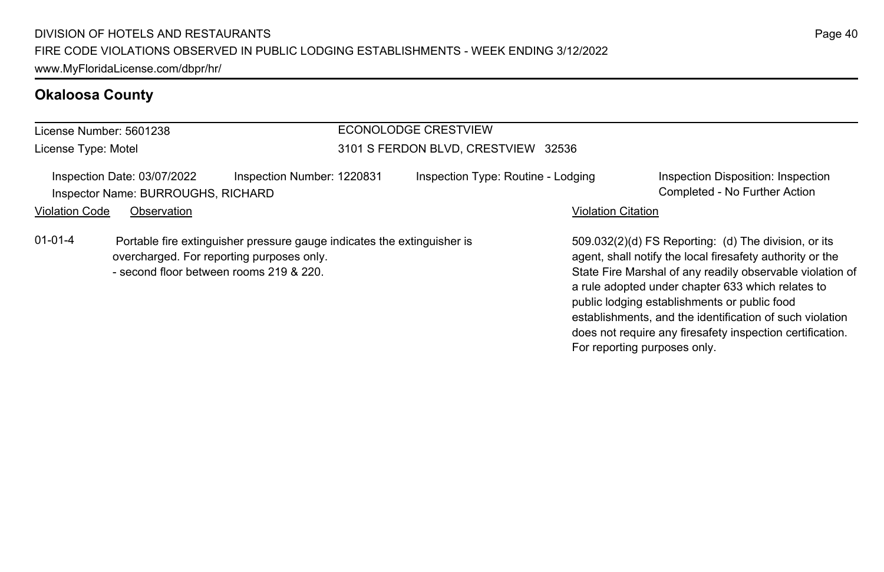#### **Okaloosa County**

#### License Number: 5601238 License Type: Motel ECONOLODGE CRESTVIEW 3101 S FERDON BLVD, CRESTVIEW 32536 Inspection Date: 03/07/2022 Inspection Number: 1220831 Inspection Type: Routine - Lodging Inspection Disposition: Inspection Inspector Name: BURROUGHS, RICHARD Completed - No Further Action Violation Code Observation **Violation Code Observation** Violation Citation Citation Citation Citation Citation Citation Citation Citation Citation Citation Citation Citation Citation Citation Citation Citation Citation Cit 509.032(2)(d) FS Reporting: (d) The division, or its agent, shall notify the local firesafety authority or the State Fire Marshal of any readily observable violation of a rule adopted under chapter 633 which relates to public lodging establishments or public food 01-01-4 Portable fire extinguisher pressure gauge indicates the extinguisher is overcharged. For reporting purposes only. - second floor between rooms 219 & 220.

Page 40

establishments, and the identification of such violation does not require any firesafety inspection certification.

For reporting purposes only.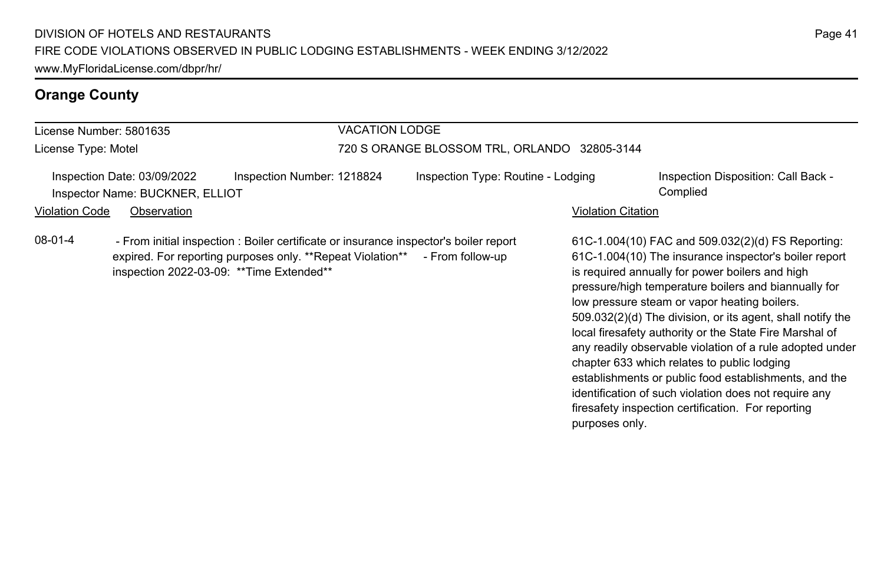# **Orange County**

| License Number: 5801635 |                                                                               |                                                                                                                                                                      | <b>VACATION LODGE</b>                        |                                    |                           |                                                                                                                                                                                                                                                                                                                                                                                                                                                                                                                                                                                                                             |  |
|-------------------------|-------------------------------------------------------------------------------|----------------------------------------------------------------------------------------------------------------------------------------------------------------------|----------------------------------------------|------------------------------------|---------------------------|-----------------------------------------------------------------------------------------------------------------------------------------------------------------------------------------------------------------------------------------------------------------------------------------------------------------------------------------------------------------------------------------------------------------------------------------------------------------------------------------------------------------------------------------------------------------------------------------------------------------------------|--|
| License Type: Motel     |                                                                               |                                                                                                                                                                      | 720 S ORANGE BLOSSOM TRL, ORLANDO 32805-3144 |                                    |                           |                                                                                                                                                                                                                                                                                                                                                                                                                                                                                                                                                                                                                             |  |
| <b>Violation Code</b>   | Inspection Date: 03/09/2022<br>Inspector Name: BUCKNER, ELLIOT<br>Observation | Inspection Number: 1218824                                                                                                                                           |                                              | Inspection Type: Routine - Lodging | <b>Violation Citation</b> | Inspection Disposition: Call Back -<br>Complied                                                                                                                                                                                                                                                                                                                                                                                                                                                                                                                                                                             |  |
| $08-01-4$               | inspection 2022-03-09: ** Time Extended**                                     | - From initial inspection : Boiler certificate or insurance inspector's boiler report<br>expired. For reporting purposes only. **Repeat Violation** - From follow-up |                                              |                                    |                           | 61C-1.004(10) FAC and 509.032(2)(d) FS Reporting:<br>61C-1.004(10) The insurance inspector's boiler report<br>is required annually for power boilers and high<br>pressure/high temperature boilers and biannually for<br>low pressure steam or vapor heating boilers.<br>509.032(2)(d) The division, or its agent, shall notify the<br>local firesafety authority or the State Fire Marshal of<br>any readily observable violation of a rule adopted under<br>chapter 633 which relates to public lodging<br>establishments or public food establishments, and the<br>identification of such violation does not require any |  |

firesafety inspection certification. For reporting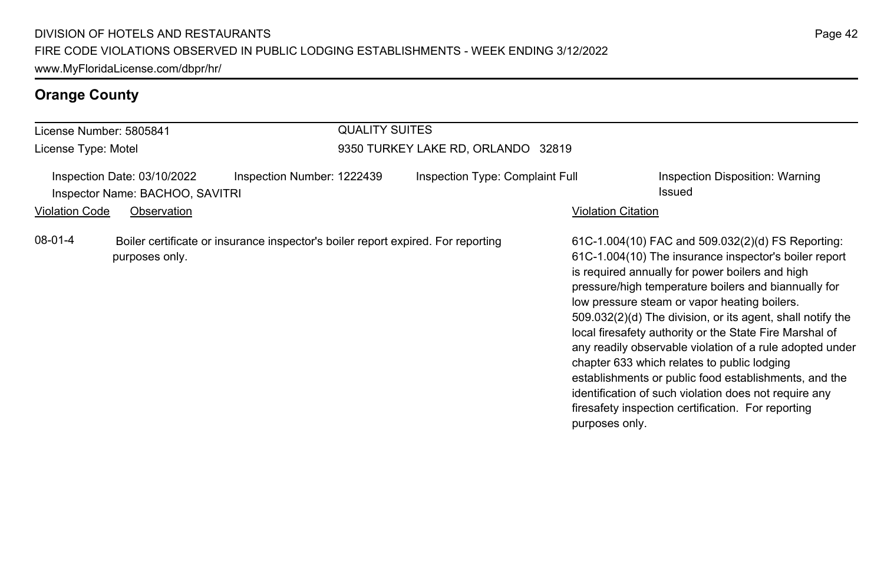# **Orange County**

| License Number: 5805841 |                                                                               |                                                                                  | <b>QUALITY SUITES</b>              |                                 |                    |                                                                                                                                                                                                                                                                                                                                                                                                                                                                                                                                                                                                                                                                                   |  |  |
|-------------------------|-------------------------------------------------------------------------------|----------------------------------------------------------------------------------|------------------------------------|---------------------------------|--------------------|-----------------------------------------------------------------------------------------------------------------------------------------------------------------------------------------------------------------------------------------------------------------------------------------------------------------------------------------------------------------------------------------------------------------------------------------------------------------------------------------------------------------------------------------------------------------------------------------------------------------------------------------------------------------------------------|--|--|
| License Type: Motel     |                                                                               |                                                                                  | 9350 TURKEY LAKE RD, ORLANDO 32819 |                                 |                    |                                                                                                                                                                                                                                                                                                                                                                                                                                                                                                                                                                                                                                                                                   |  |  |
| <b>Violation Code</b>   | Inspection Date: 03/10/2022<br>Inspector Name: BACHOO, SAVITRI<br>Observation | Inspection Number: 1222439                                                       |                                    | Inspection Type: Complaint Full | Violation Citation | Inspection Disposition: Warning<br>Issued                                                                                                                                                                                                                                                                                                                                                                                                                                                                                                                                                                                                                                         |  |  |
| $08-01-4$               | purposes only.                                                                | Boiler certificate or insurance inspector's boiler report expired. For reporting |                                    |                                 | purposes only.     | 61C-1.004(10) FAC and 509.032(2)(d) FS Reporting:<br>61C-1.004(10) The insurance inspector's boiler report<br>is required annually for power boilers and high<br>pressure/high temperature boilers and biannually for<br>low pressure steam or vapor heating boilers.<br>509.032(2)(d) The division, or its agent, shall notify the<br>local firesafety authority or the State Fire Marshal of<br>any readily observable violation of a rule adopted under<br>chapter 633 which relates to public lodging<br>establishments or public food establishments, and the<br>identification of such violation does not require any<br>firesafety inspection certification. For reporting |  |  |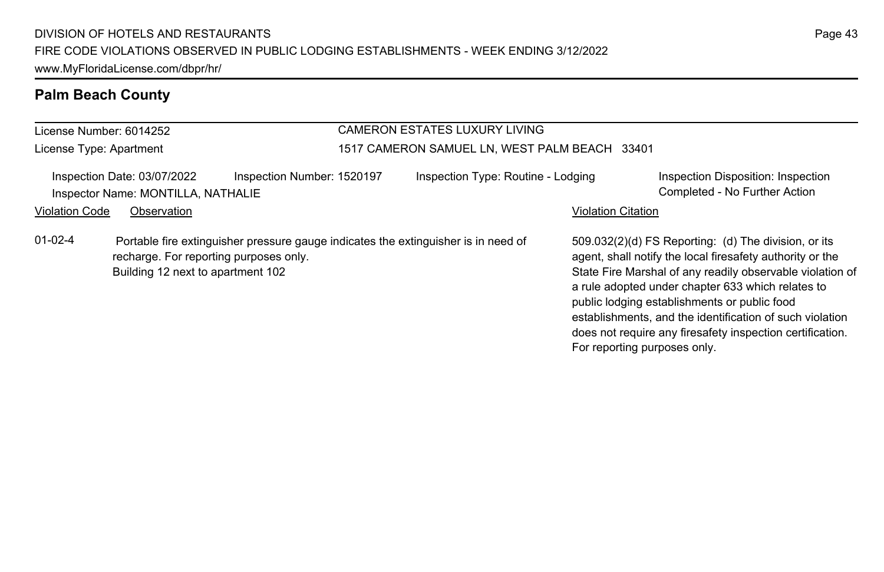| License Number: 6014252 |                                                                             |                                                                                    | <b>CAMERON ESTATES LUXURY LIVING</b>          |                           |                                                                                                                                                                                                                                                                                                                                                                                                                                              |
|-------------------------|-----------------------------------------------------------------------------|------------------------------------------------------------------------------------|-----------------------------------------------|---------------------------|----------------------------------------------------------------------------------------------------------------------------------------------------------------------------------------------------------------------------------------------------------------------------------------------------------------------------------------------------------------------------------------------------------------------------------------------|
| License Type: Apartment |                                                                             |                                                                                    | 1517 CAMERON SAMUEL LN, WEST PALM BEACH 33401 |                           |                                                                                                                                                                                                                                                                                                                                                                                                                                              |
|                         | Inspection Date: 03/07/2022<br>Inspector Name: MONTILLA, NATHALIE           | Inspection Number: 1520197                                                         | Inspection Type: Routine - Lodging            |                           | Inspection Disposition: Inspection<br>Completed - No Further Action                                                                                                                                                                                                                                                                                                                                                                          |
| <b>Violation Code</b>   | Observation                                                                 |                                                                                    |                                               | <b>Violation Citation</b> |                                                                                                                                                                                                                                                                                                                                                                                                                                              |
| $01 - 02 - 4$           | recharge. For reporting purposes only.<br>Building 12 next to apartment 102 | Portable fire extinguisher pressure gauge indicates the extinguisher is in need of |                                               |                           | 509.032(2)(d) FS Reporting: (d) The division, or its<br>agent, shall notify the local firesafety authority or the<br>State Fire Marshal of any readily observable violation of<br>a rule adopted under chapter 633 which relates to<br>public lodging establishments or public food<br>establishments, and the identification of such violation<br>does not require any firesafety inspection certification.<br>For reporting purposes only. |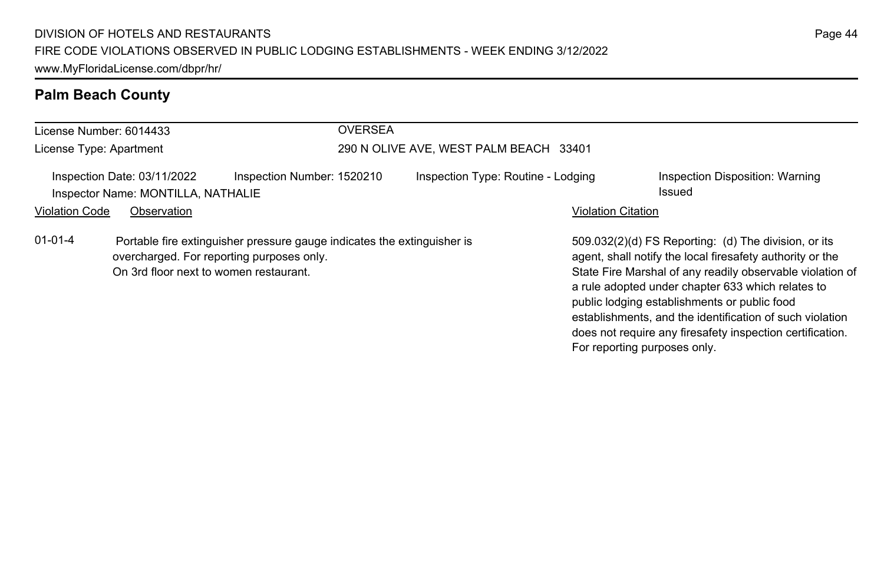| License Number: 6014433 |                                                                   |                                                                                                                      | <b>OVERSEA</b>                         |                                    |                              |                                                                                                                                                                                                                                                                                                                                                                                                              |
|-------------------------|-------------------------------------------------------------------|----------------------------------------------------------------------------------------------------------------------|----------------------------------------|------------------------------------|------------------------------|--------------------------------------------------------------------------------------------------------------------------------------------------------------------------------------------------------------------------------------------------------------------------------------------------------------------------------------------------------------------------------------------------------------|
| License Type: Apartment |                                                                   |                                                                                                                      | 290 N OLIVE AVE, WEST PALM BEACH 33401 |                                    |                              |                                                                                                                                                                                                                                                                                                                                                                                                              |
|                         | Inspection Date: 03/11/2022<br>Inspector Name: MONTILLA, NATHALIE | Inspection Number: 1520210                                                                                           |                                        | Inspection Type: Routine - Lodging |                              | Inspection Disposition: Warning<br>Issued                                                                                                                                                                                                                                                                                                                                                                    |
| <b>Violation Code</b>   | Observation                                                       |                                                                                                                      |                                        |                                    | <b>Violation Citation</b>    |                                                                                                                                                                                                                                                                                                                                                                                                              |
| $01 - 01 - 4$           | On 3rd floor next to women restaurant.                            | Portable fire extinguisher pressure gauge indicates the extinguisher is<br>overcharged. For reporting purposes only. |                                        |                                    | For reporting purposes only. | 509.032(2)(d) FS Reporting: (d) The division, or its<br>agent, shall notify the local firesafety authority or the<br>State Fire Marshal of any readily observable violation of<br>a rule adopted under chapter 633 which relates to<br>public lodging establishments or public food<br>establishments, and the identification of such violation<br>does not require any firesafety inspection certification. |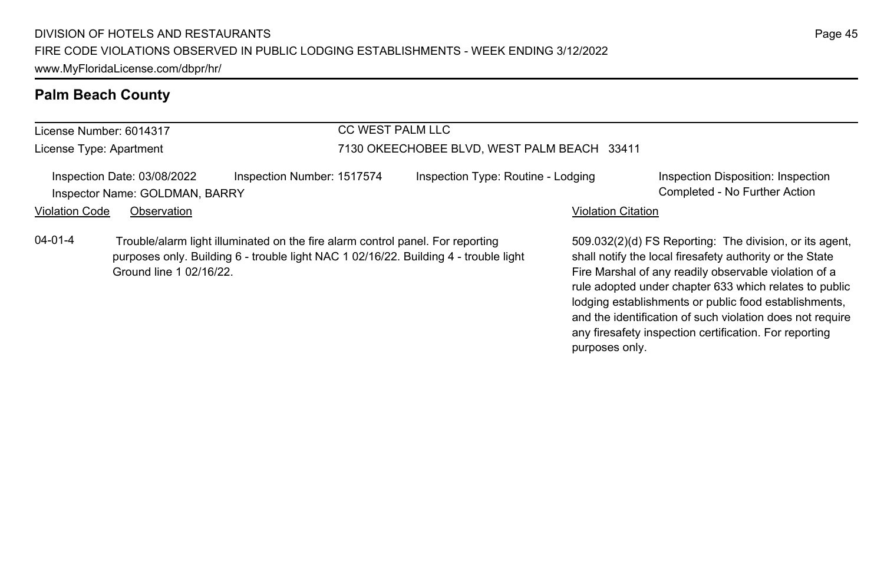License Number: 6014317 License Type: Apartment

#### CC WEST PALM LLC

#### 7130 OKEECHOBEE BLVD, WEST PALM BEACH 33411

Inspection Date: 03/08/2022 Inspection Number: 1517574 Inspection Type: Routine - Lodging Inspection Disposition: Inspection Inspector Name: GOLDMAN, BARRY Completed - No Further Action

Violation Code Observation **Violation Code Observation** Violation Citation Citation Citation Citation Citation Citation Citation Citation Citation Citation Citation Citation Citation Citation Citation Citation Citation Cit

04-01-4 Trouble/alarm light illuminated on the fire alarm control panel. For reporting purposes only. Building 6 - trouble light NAC 1 02/16/22. Building 4 - trouble light Ground line 1 02/16/22.

509.032(2)(d) FS Reporting: The division, or its agent, shall notify the local firesafety authority or the State Fire Marshal of any readily observable violation of a rule adopted under chapter 633 which relates to public lodging establishments or public food establishments, and the identification of such violation does not require any firesafety inspection certification. For reporting purposes only.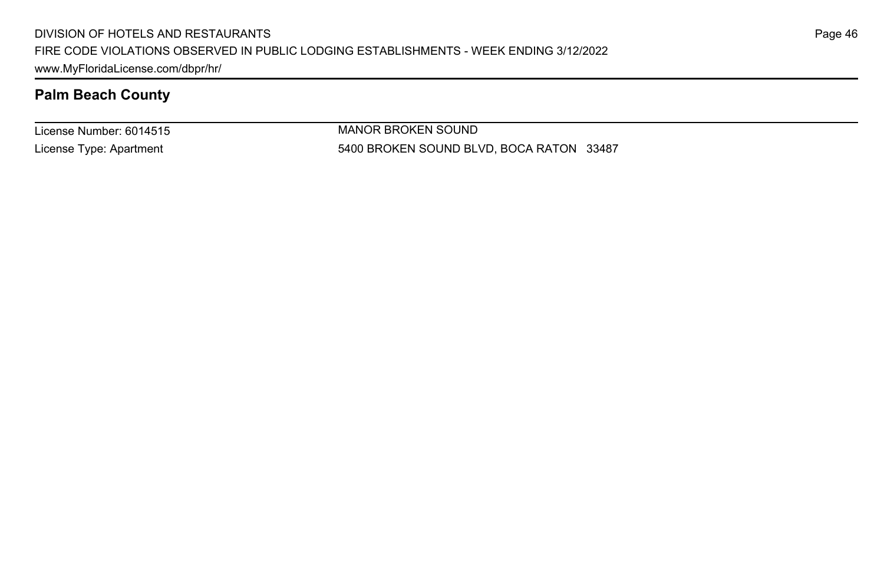License Number: 6014515 License Type: Apartment

MANOR BROKEN SOUND 5400 BROKEN SOUND BLVD, BOCA RATON 33487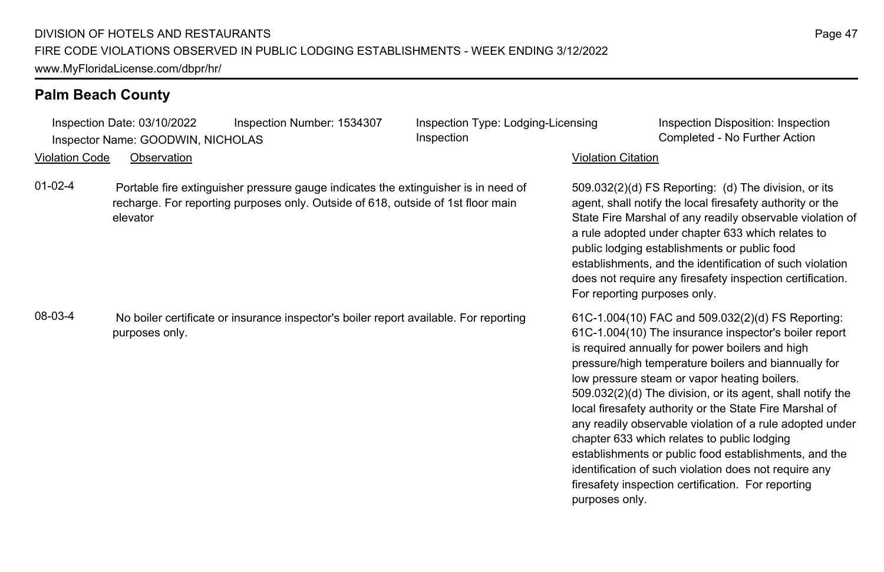|                       | Inspection Date: 03/10/2022<br>Inspector Name: GOODWIN, NICHOLAS | Inspection Number: 1534307                                                                                                                                             | Inspection Type: Lodging-Licensing<br>Inspection |                              | Inspection Disposition: Inspection<br>Completed - No Further Action                                                                                                                                                                                                                                                                                                                                                                                                                                                                                                                                                                                                               |
|-----------------------|------------------------------------------------------------------|------------------------------------------------------------------------------------------------------------------------------------------------------------------------|--------------------------------------------------|------------------------------|-----------------------------------------------------------------------------------------------------------------------------------------------------------------------------------------------------------------------------------------------------------------------------------------------------------------------------------------------------------------------------------------------------------------------------------------------------------------------------------------------------------------------------------------------------------------------------------------------------------------------------------------------------------------------------------|
| <b>Violation Code</b> | Observation                                                      |                                                                                                                                                                        |                                                  | <b>Violation Citation</b>    |                                                                                                                                                                                                                                                                                                                                                                                                                                                                                                                                                                                                                                                                                   |
| $01 - 02 - 4$         | elevator                                                         | Portable fire extinguisher pressure gauge indicates the extinguisher is in need of<br>recharge. For reporting purposes only. Outside of 618, outside of 1st floor main |                                                  | For reporting purposes only. | 509.032(2)(d) FS Reporting: (d) The division, or its<br>agent, shall notify the local firesafety authority or the<br>State Fire Marshal of any readily observable violation of<br>a rule adopted under chapter 633 which relates to<br>public lodging establishments or public food<br>establishments, and the identification of such violation<br>does not require any firesafety inspection certification.                                                                                                                                                                                                                                                                      |
| 08-03-4               | purposes only.                                                   | No boiler certificate or insurance inspector's boiler report available. For reporting                                                                                  |                                                  | purposes only.               | 61C-1.004(10) FAC and 509.032(2)(d) FS Reporting:<br>61C-1.004(10) The insurance inspector's boiler report<br>is required annually for power boilers and high<br>pressure/high temperature boilers and biannually for<br>low pressure steam or vapor heating boilers.<br>509.032(2)(d) The division, or its agent, shall notify the<br>local firesafety authority or the State Fire Marshal of<br>any readily observable violation of a rule adopted under<br>chapter 633 which relates to public lodging<br>establishments or public food establishments, and the<br>identification of such violation does not require any<br>firesafety inspection certification. For reporting |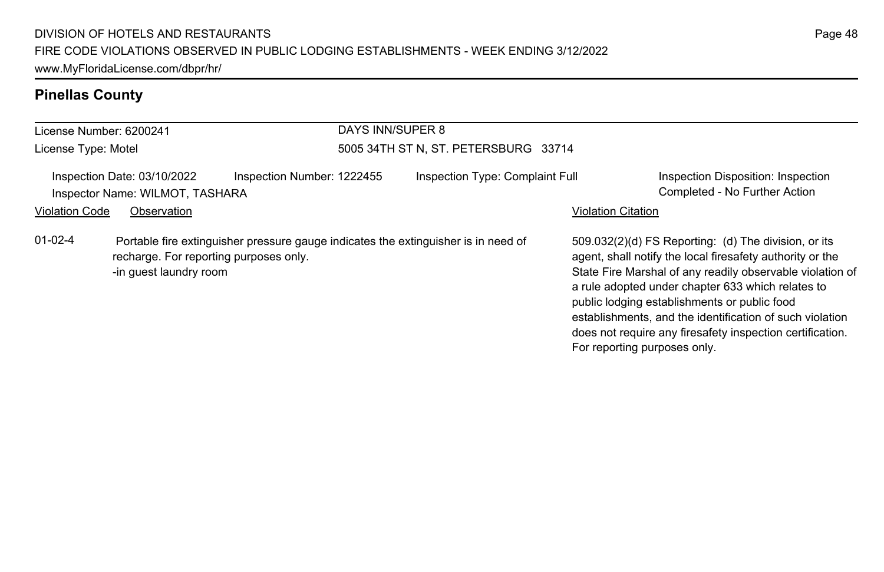# **Pinellas County**

| License Number: 6200241 |                                                                  |                            | DAYS INN/SUPER 8 |                                                                                    |                           |                                                                                                                                                                                                                                                                                                                                                                                                                                              |
|-------------------------|------------------------------------------------------------------|----------------------------|------------------|------------------------------------------------------------------------------------|---------------------------|----------------------------------------------------------------------------------------------------------------------------------------------------------------------------------------------------------------------------------------------------------------------------------------------------------------------------------------------------------------------------------------------------------------------------------------------|
| License Type: Motel     |                                                                  |                            |                  | 5005 34TH ST N, ST. PETERSBURG 33714                                               |                           |                                                                                                                                                                                                                                                                                                                                                                                                                                              |
|                         | Inspection Date: 03/10/2022<br>Inspector Name: WILMOT, TASHARA   | Inspection Number: 1222455 |                  | Inspection Type: Complaint Full                                                    |                           | Inspection Disposition: Inspection<br>Completed - No Further Action                                                                                                                                                                                                                                                                                                                                                                          |
| <b>Violation Code</b>   | Observation                                                      |                            |                  |                                                                                    | <b>Violation Citation</b> |                                                                                                                                                                                                                                                                                                                                                                                                                                              |
| $01-02-4$               | recharge. For reporting purposes only.<br>-in quest laundry room |                            |                  | Portable fire extinguisher pressure gauge indicates the extinguisher is in need of |                           | 509.032(2)(d) FS Reporting: (d) The division, or its<br>agent, shall notify the local firesafety authority or the<br>State Fire Marshal of any readily observable violation of<br>a rule adopted under chapter 633 which relates to<br>public lodging establishments or public food<br>establishments, and the identification of such violation<br>does not require any firesafety inspection certification.<br>For reporting purposes only. |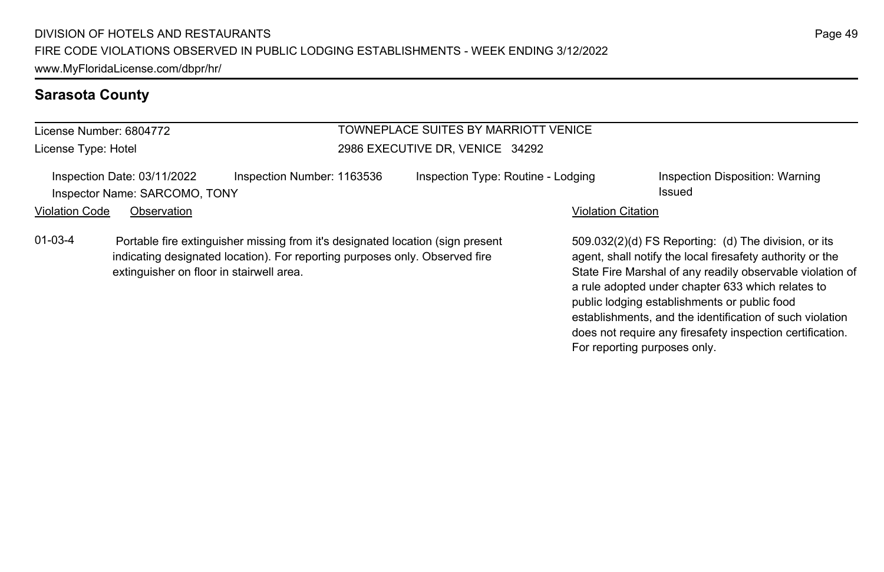# **Sarasota County**

| License Number: 6804772<br>License Type: Hotel |                                                              |                                                                                                                                                               | TOWNEPLACE SUITES BY MARRIOTT VENICE |                           |                                                                                                                                                                             |
|------------------------------------------------|--------------------------------------------------------------|---------------------------------------------------------------------------------------------------------------------------------------------------------------|--------------------------------------|---------------------------|-----------------------------------------------------------------------------------------------------------------------------------------------------------------------------|
|                                                |                                                              |                                                                                                                                                               | 2986 EXECUTIVE DR. VENICE 34292      |                           |                                                                                                                                                                             |
|                                                | Inspection Date: 03/11/2022<br>Inspector Name: SARCOMO, TONY | Inspection Number: 1163536                                                                                                                                    | Inspection Type: Routine - Lodging   |                           | Inspection Disposition: Warning<br>Issued                                                                                                                                   |
| Violation Code                                 | Observation                                                  |                                                                                                                                                               |                                      | <b>Violation Citation</b> |                                                                                                                                                                             |
| $01-03-4$                                      | extinguisher on floor in stairwell area.                     | Portable fire extinguisher missing from it's designated location (sign present<br>indicating designated location). For reporting purposes only. Observed fire |                                      |                           | 509.032(2)(d) FS Reporting: (d) The division, or its<br>agent, shall notify the local firesafety authority or the<br>State Fire Marshal of any readily observable violation |

509.032(2)(d) FS Reporting: (d) The division, or its agent, shall notify the local firesafety authority or the State Fire Marshal of any readily observable violation of a rule adopted under chapter 633 which relates to public lodging establishments or public food establishments, and the identification of such violation

does not require any firesafety inspection certification.

For reporting purposes only.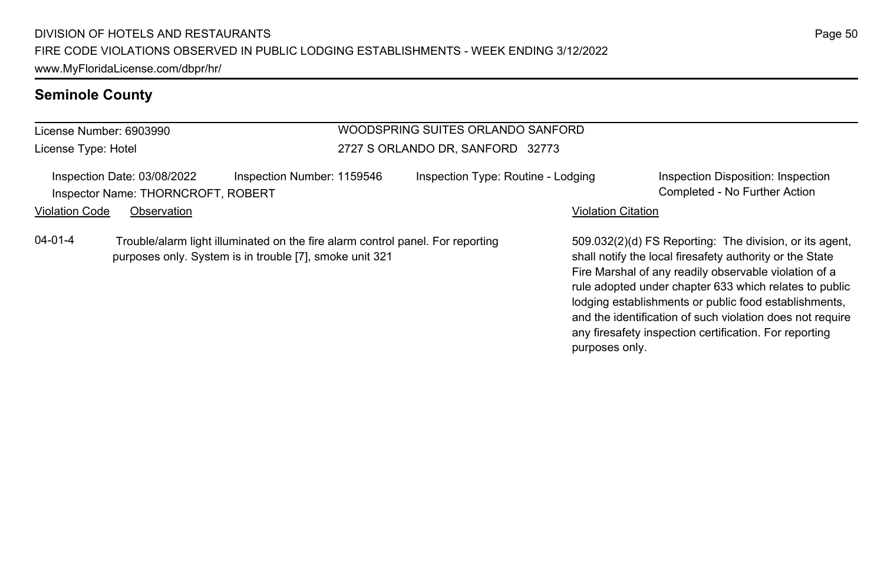#### **Seminole County**

# License Number: 6903990

License Type: Hotel

#### WOODSPRING SUITES ORLANDO SANFORD 2727 S ORLANDO DR, SANFORD 32773

| Inspection Date: 03/08/2022 |                                                                  | Inspection Disposition: Inspection                              |
|-----------------------------|------------------------------------------------------------------|-----------------------------------------------------------------|
|                             |                                                                  | Completed - No Further Action                                   |
| Observation                 |                                                                  |                                                                 |
|                             | Inspection Number: 1159546<br>Inspector Name: THORNCROFT, ROBERT | Inspection Type: Routine - Lodging<br><b>Violation Citation</b> |

04-01-4 Trouble/alarm light illuminated on the fire alarm control panel. For reporting purposes only. System is in trouble [7], smoke unit 321

509.032(2)(d) FS Reporting: The division, or its agent, shall notify the local firesafety authority or the State Fire Marshal of any readily observable violation of a rule adopted under chapter 633 which relates to public lodging establishments or public food establishments, and the identification of such violation does not require any firesafety inspection certification. For reporting purposes only.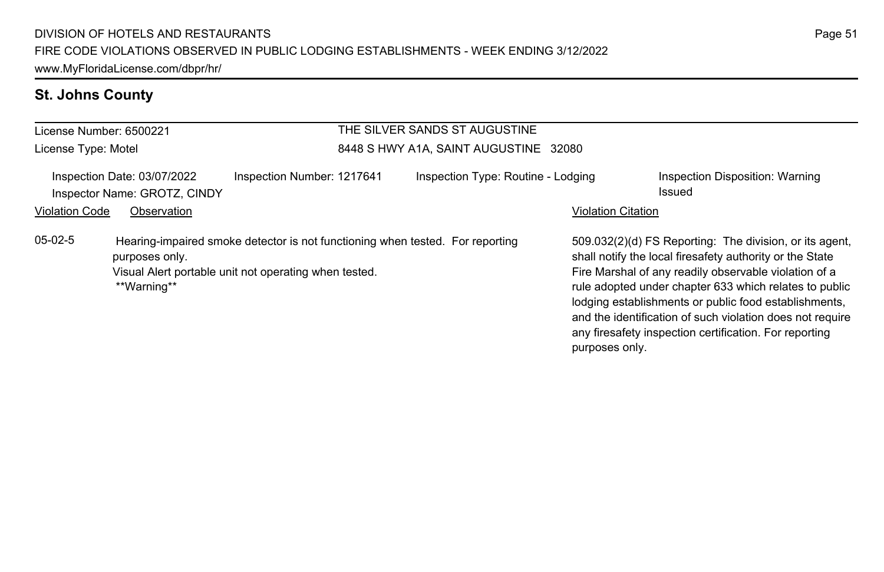# **St. Johns County**

| License Number: 6500221                                                                                                                                                              |             |                            | THE SILVER SANDS ST AUGUSTINE         |                           |                                                                                                                                                                                                                                                                                                                                                                                                                        |  |
|--------------------------------------------------------------------------------------------------------------------------------------------------------------------------------------|-------------|----------------------------|---------------------------------------|---------------------------|------------------------------------------------------------------------------------------------------------------------------------------------------------------------------------------------------------------------------------------------------------------------------------------------------------------------------------------------------------------------------------------------------------------------|--|
| License Type: Motel                                                                                                                                                                  |             |                            | 8448 S HWY A1A, SAINT AUGUSTINE 32080 |                           |                                                                                                                                                                                                                                                                                                                                                                                                                        |  |
| Inspection Date: 03/07/2022<br>Inspector Name: GROTZ, CINDY                                                                                                                          |             | Inspection Number: 1217641 | Inspection Type: Routine - Lodging    |                           | Inspection Disposition: Warning<br>Issued                                                                                                                                                                                                                                                                                                                                                                              |  |
| <b>Violation Code</b>                                                                                                                                                                | Observation |                            |                                       | <b>Violation Citation</b> |                                                                                                                                                                                                                                                                                                                                                                                                                        |  |
| $05-02-5$<br>Hearing-impaired smoke detector is not functioning when tested. For reporting<br>purposes only.<br>Visual Alert portable unit not operating when tested.<br>**Warning** |             |                            |                                       | purposes only.            | 509.032(2)(d) FS Reporting: The division, or its agent,<br>shall notify the local firesafety authority or the State<br>Fire Marshal of any readily observable violation of a<br>rule adopted under chapter 633 which relates to public<br>lodging establishments or public food establishments,<br>and the identification of such violation does not require<br>any firesafety inspection certification. For reporting |  |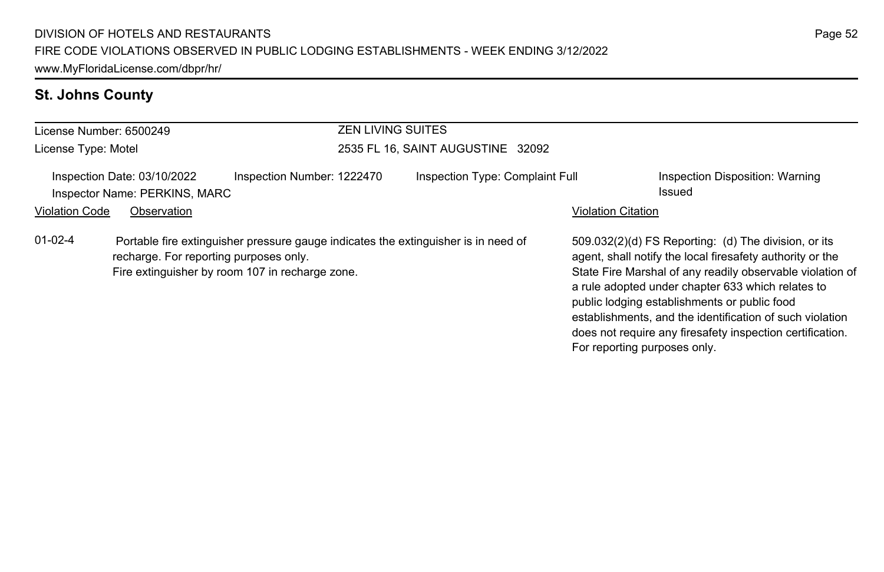# **St. Johns County**

| License Number: 6500249                                                                                                                                                                      |             |  | <b>ZEN LIVING SUITES</b>          |                              |                                                                                                                                                                                                                                                                                                                                                                                                              |  |
|----------------------------------------------------------------------------------------------------------------------------------------------------------------------------------------------|-------------|--|-----------------------------------|------------------------------|--------------------------------------------------------------------------------------------------------------------------------------------------------------------------------------------------------------------------------------------------------------------------------------------------------------------------------------------------------------------------------------------------------------|--|
| License Type: Motel                                                                                                                                                                          |             |  | 2535 FL 16, SAINT AUGUSTINE 32092 |                              |                                                                                                                                                                                                                                                                                                                                                                                                              |  |
| Inspection Number: 1222470<br>Inspection Date: 03/10/2022<br>Inspector Name: PERKINS, MARC                                                                                                   |             |  | Inspection Type: Complaint Full   |                              | Inspection Disposition: Warning<br>Issued                                                                                                                                                                                                                                                                                                                                                                    |  |
| <b>Violation Code</b>                                                                                                                                                                        | Observation |  |                                   |                              | <b>Violation Citation</b>                                                                                                                                                                                                                                                                                                                                                                                    |  |
| $01-02-4$<br>Portable fire extinguisher pressure gauge indicates the extinguisher is in need of<br>recharge. For reporting purposes only.<br>Fire extinguisher by room 107 in recharge zone. |             |  |                                   | For reporting purposes only. | 509.032(2)(d) FS Reporting: (d) The division, or its<br>agent, shall notify the local firesafety authority or the<br>State Fire Marshal of any readily observable violation of<br>a rule adopted under chapter 633 which relates to<br>public lodging establishments or public food<br>establishments, and the identification of such violation<br>does not require any firesafety inspection certification. |  |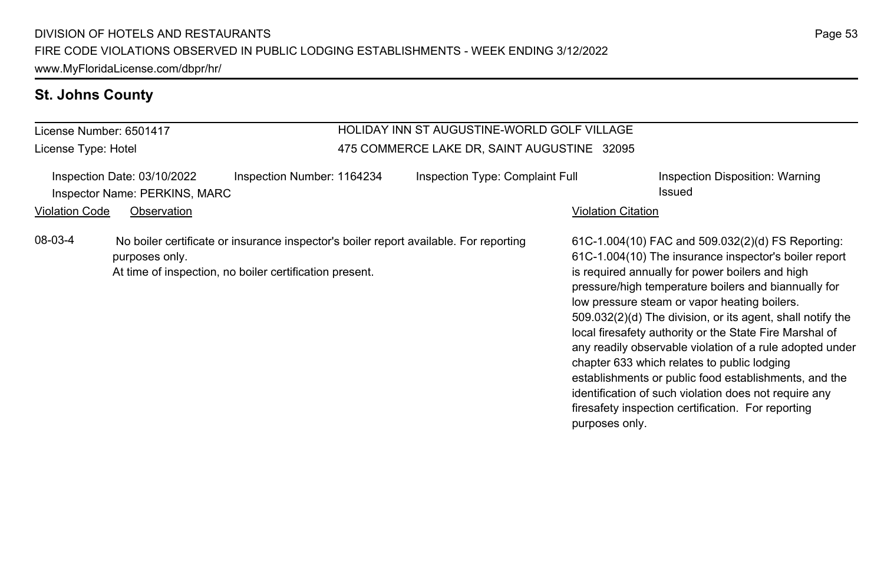#### **St. Johns County**

#### License Number: 6501417 License Type: Hotel HOLIDAY INN ST AUGUSTINE-WORLD GOLF VILLAGE 475 COMMERCE LAKE DR, SAINT AUGUSTINE 32095 Inspection Date: 03/10/2022 Inspection Number: 1164234 Inspection Type: Complaint Full Inspection Disposition: Warning Inspector Name: PERKINS, MARC **Issued Issued** Violation Code Observation **Violation Code** Observation **Violation** Violation Citation Citation Citation Citation 61C-1.004(10) FAC and 509.032(2)(d) FS Reporting: 61C-1.004(10) The insurance inspector's boiler report is required annually for power boilers and high pressure/high temperature boilers and biannually for low pressure steam or vapor heating boilers. 509.032(2)(d) The division, or its agent, shall notify the local firesafety authority or the State Fire Marshal of any readily observable violation of a rule adopted under chapter 633 which relates to public lodging establishments or public food establishments, and the identification of such violation does not require any firesafety inspection certification. For reporting purposes only. 08-03-4 No boiler certificate or insurance inspector's boiler report available. For reporting purposes only. At time of inspection, no boiler certification present.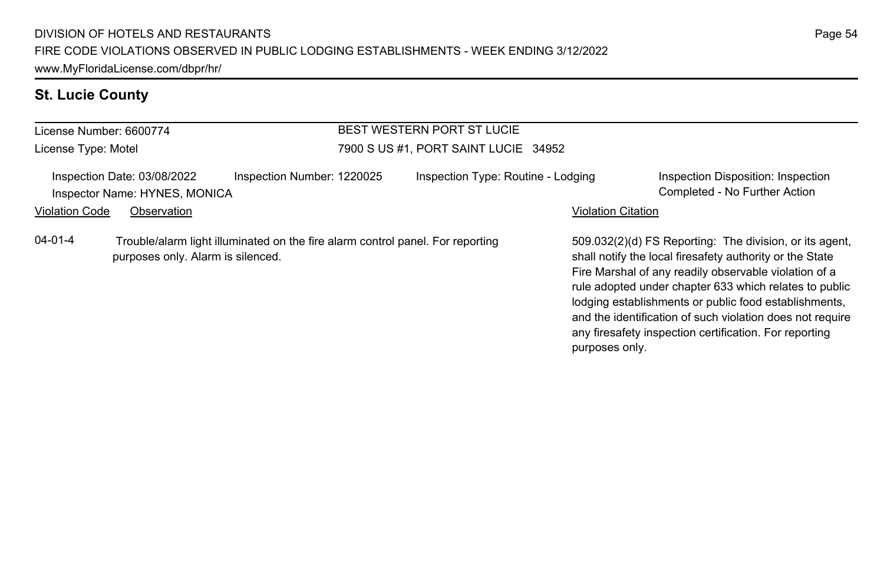# **St. Lucie County**

| <b>BEST WESTERN PORT ST LUCIE</b><br>License Number: 6600774 |                                                              |                                                                                                                     |                                      |                                                                                                                                                                                                                                                                                                                                                              |                                                                     |  |
|--------------------------------------------------------------|--------------------------------------------------------------|---------------------------------------------------------------------------------------------------------------------|--------------------------------------|--------------------------------------------------------------------------------------------------------------------------------------------------------------------------------------------------------------------------------------------------------------------------------------------------------------------------------------------------------------|---------------------------------------------------------------------|--|
| License Type: Motel                                          |                                                              |                                                                                                                     | 7900 S US #1, PORT SAINT LUCIE 34952 |                                                                                                                                                                                                                                                                                                                                                              |                                                                     |  |
|                                                              | Inspection Date: 03/08/2022<br>Inspector Name: HYNES, MONICA | Inspection Number: 1220025                                                                                          | Inspection Type: Routine - Lodging   |                                                                                                                                                                                                                                                                                                                                                              | Inspection Disposition: Inspection<br>Completed - No Further Action |  |
| <b>Violation Code</b>                                        | Observation                                                  |                                                                                                                     |                                      | <b>Violation Citation</b>                                                                                                                                                                                                                                                                                                                                    |                                                                     |  |
| $04 - 01 - 4$                                                |                                                              | Trouble/alarm light illuminated on the fire alarm control panel. For reporting<br>purposes only. Alarm is silenced. |                                      | 509.032(2)(d) FS Reporting: The division, or its agent.<br>shall notify the local firesafety authority or the State<br>Fire Marshal of any readily observable violation of a<br>rule adopted under chapter 633 which relates to public<br>lodging establishments or public food establishments,<br>and the identification of such violation does not require |                                                                     |  |

any firesafety inspection certification. For reporting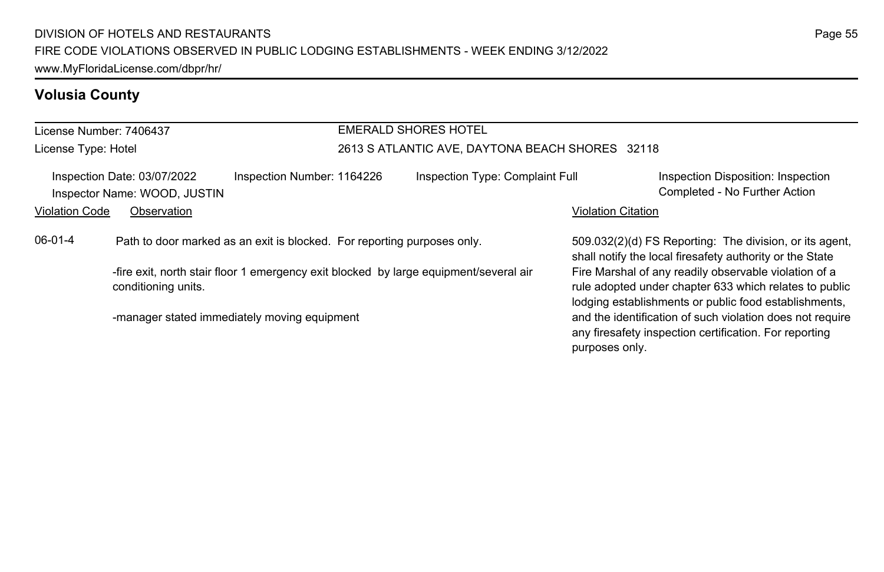# **Volusia County**

License Number: 7406437 License Type: Hotel

# EMERALD SHORES HOTEL

#### 2613 S ATLANTIC AVE, DAYTONA BEACH SHORES 32118

| Inspection Date: 03/07/2022<br>Inspector Name: WOOD, JUSTIN |                     | Inspection Number: 1164226                                                            | Inspection Type: Complaint Full                                                                                                                                                                                                                                                                                   | Inspection Disposition: Inspection<br>Completed - No Further Action |
|-------------------------------------------------------------|---------------------|---------------------------------------------------------------------------------------|-------------------------------------------------------------------------------------------------------------------------------------------------------------------------------------------------------------------------------------------------------------------------------------------------------------------|---------------------------------------------------------------------|
| Violation Code                                              | Observation         |                                                                                       |                                                                                                                                                                                                                                                                                                                   | <b>Violation Citation</b>                                           |
| 06-01-4                                                     |                     | Path to door marked as an exit is blocked. For reporting purposes only.               | 509.032(2)(d) FS Reporting: The division, or its agent,<br>shall notify the local firesafety authority or the State                                                                                                                                                                                               |                                                                     |
|                                                             | conditioning units. | -fire exit, north stair floor 1 emergency exit blocked by large equipment/several air | Fire Marshal of any readily observable violation of a<br>rule adopted under chapter 633 which relates to public<br>lodging establishments or public food establishments,<br>and the identification of such violation does not require<br>any firesafety inspection certification. For reporting<br>purposes only. |                                                                     |
|                                                             |                     | -manager stated immediately moving equipment                                          |                                                                                                                                                                                                                                                                                                                   |                                                                     |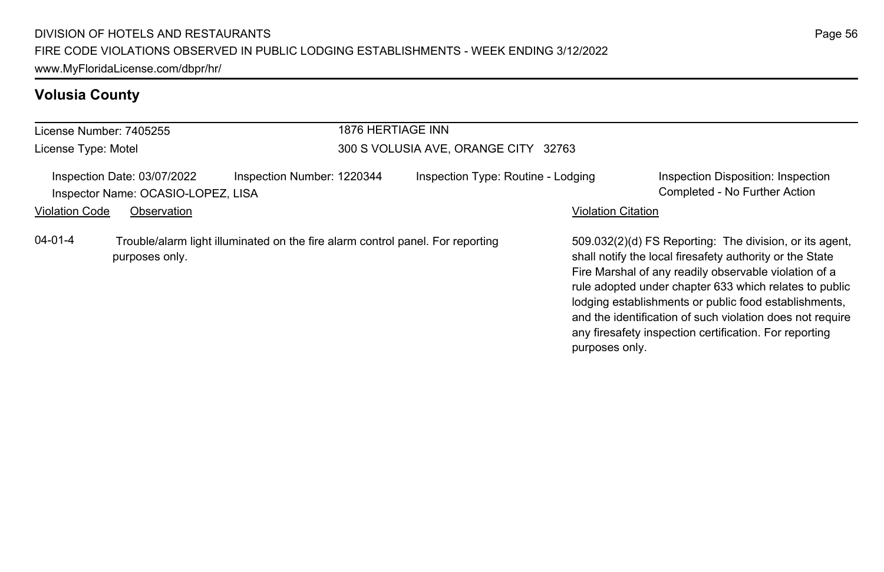# **Volusia County**

| License Number: 7405255                                           |                                                                                                  |                            | 1876 HERTIAGE INN                    |                                                                                                                                                                                                                                                                                                                                                                                                                                          |  |  |  |
|-------------------------------------------------------------------|--------------------------------------------------------------------------------------------------|----------------------------|--------------------------------------|------------------------------------------------------------------------------------------------------------------------------------------------------------------------------------------------------------------------------------------------------------------------------------------------------------------------------------------------------------------------------------------------------------------------------------------|--|--|--|
| License Type: Motel                                               |                                                                                                  |                            | 300 S VOLUSIA AVE, ORANGE CITY 32763 |                                                                                                                                                                                                                                                                                                                                                                                                                                          |  |  |  |
| Inspection Date: 03/07/2022<br>Inspector Name: OCASIO-LOPEZ, LISA |                                                                                                  | Inspection Number: 1220344 | Inspection Type: Routine - Lodging   | Inspection Disposition: Inspection<br>Completed - No Further Action                                                                                                                                                                                                                                                                                                                                                                      |  |  |  |
| <b>Violation Code</b>                                             | Observation                                                                                      |                            |                                      | <b>Violation Citation</b>                                                                                                                                                                                                                                                                                                                                                                                                                |  |  |  |
| $04 - 01 - 4$                                                     | Trouble/alarm light illuminated on the fire alarm control panel. For reporting<br>purposes only. |                            |                                      | 509.032(2)(d) FS Reporting: The division, or its agent,<br>shall notify the local firesafety authority or the State<br>Fire Marshal of any readily observable violation of a<br>rule adopted under chapter 633 which relates to public<br>lodging establishments or public food establishments,<br>and the identification of such violation does not require<br>any firesafety inspection certification. For reporting<br>purposes only. |  |  |  |